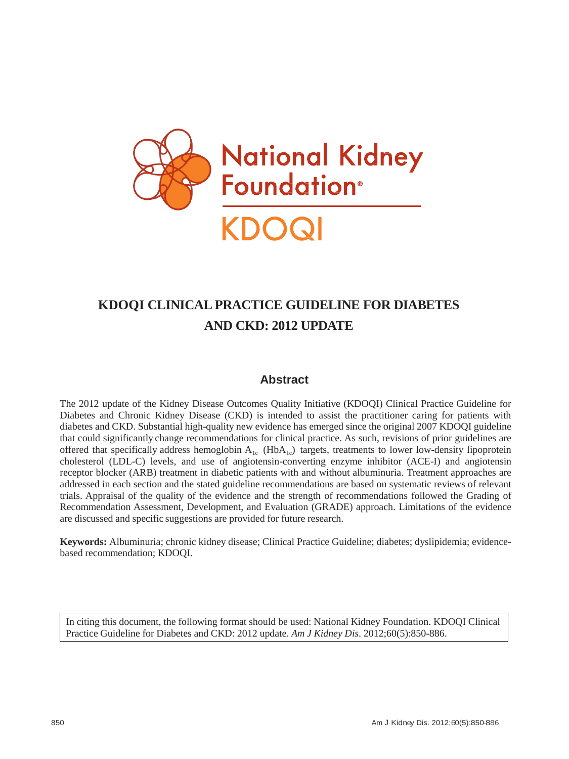

# **KDOQI CLINICAL PRACTICE GUIDELINE FOR DIABETES AND CKD: 2012 UPDATE**

### **Abstract**

The 2012 update of the Kidney Disease Outcomes Quality Initiative (KDOQI) Clinical Practice Guideline for Diabetes and Chronic Kidney Disease (CKD) is intended to assist the practitioner caring for patients with diabetes and CKD. Substantial high-quality new evidence has emerged since the original 2007 KDOQI guideline that could significantly change recommendations for clinical practice. As such, revisions of prior guidelines are offered that specifically address hemoglobin  $A_{1c}$  (Hb $A_{1c}$ ) targets, treatments to lower low-density lipoprotein cholesterol (LDL-C) levels, and use of angiotensin-converting enzyme inhibitor (ACE-I) and angiotensin receptor blocker (ARB) treatment in diabetic patients with and without albuminuria. Treatment approaches are addressed in each section and the stated guideline recommendations are based on systematic reviews of relevant trials. Appraisal of the quality of the evidence and the strength of recommendations followed the Grading of Recommendation Assessment, Development, and Evaluation (GRADE) approach. Limitations of the evidence are discussed and specific suggestions are provided for future research.

**Keywords:** Albuminuria; chronic kidney disease; Clinical Practice Guideline; diabetes; dyslipidemia; evidencebased recommendation; KDOQI.

In citing this document, the following format should be used: National Kidney Foundation. KDOQI Clinical Practice Guideline for Diabetes and CKD: 2012 update. *Am J Kidney Dis*. 2012;60(5):850-886.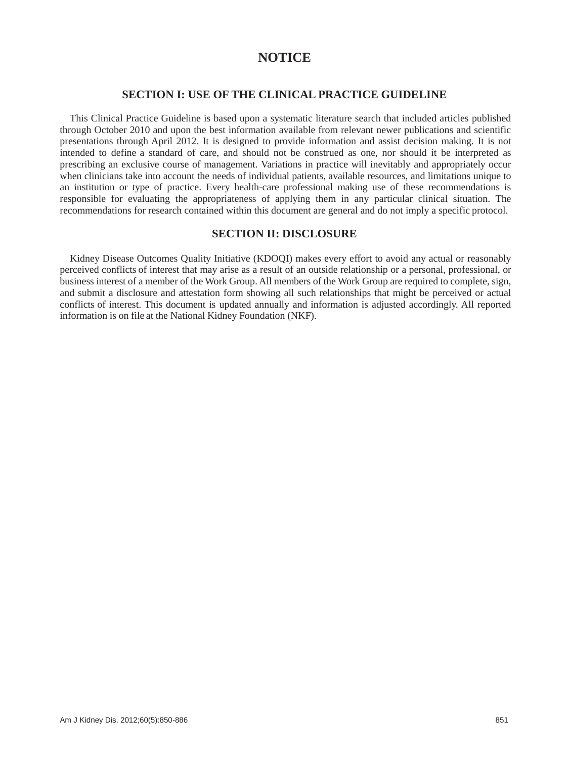### **NOTICE**

### **SECTION I: USE OF THE CLINICAL PRACTICE GUIDELINE**

This Clinical Practice Guideline is based upon a systematic literature search that included articles published through October 2010 and upon the best information available from relevant newer publications and scientific presentations through April 2012. It is designed to provide information and assist decision making. It is not intended to define a standard of care, and should not be construed as one, nor should it be interpreted as prescribing an exclusive course of management. Variations in practice will inevitably and appropriately occur when clinicians take into account the needs of individual patients, available resources, and limitations unique to an institution or type of practice. Every health-care professional making use of these recommendations is responsible for evaluating the appropriateness of applying them in any particular clinical situation. The recommendations for research contained within this document are general and do not imply a specific protocol.

#### **SECTION II: DISCLOSURE**

Kidney Disease Outcomes Quality Initiative (KDOQI) makes every effort to avoid any actual or reasonably perceived conflicts of interest that may arise as a result of an outside relationship or a personal, professional, or business interest of a member of the Work Group. All members of the Work Group are required to complete, sign, and submit a disclosure and attestation form showing all such relationships that might be perceived or actual conflicts of interest. This document is updated annually and information is adjusted accordingly. All reported information is on file at the National Kidney Foundation (NKF).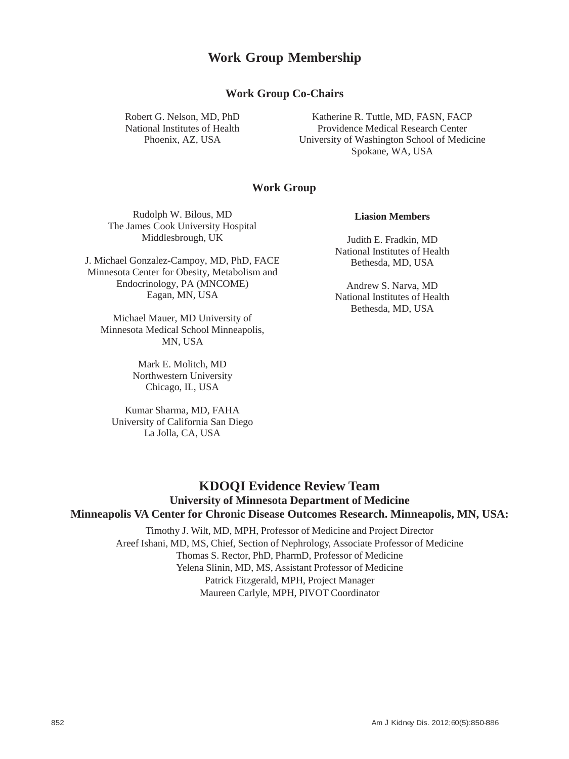### **Work Group Membership**

### **Work Group Co-Chairs**

Robert G. Nelson, MD, PhD National Institutes of Health Phoenix, AZ, USA

Katherine R. Tuttle, MD, FASN, FACP Providence Medical Research Center University of Washington School of Medicine Spokane, WA, USA

### **Work Group**

Rudolph W. Bilous, MD The James Cook University Hospital Middlesbrough, UK

J. Michael Gonzalez-Campoy, MD, PhD, FACE Minnesota Center for Obesity, Metabolism and Endocrinology, PA (MNCOME) Eagan, MN, USA

Michael Mauer, MD University of Minnesota Medical School Minneapolis, MN, USA

> Mark E. Molitch, MD Northwestern University Chicago, IL, USA

Kumar Sharma, MD, FAHA University of California San Diego La Jolla, CA, USA

#### **Liasion Members**

Judith E. Fradkin, MD National Institutes of Health Bethesda, MD, USA

Andrew S. Narva, MD National Institutes of Health Bethesda, MD, USA

### **KDOQI Evidence Review Team University of Minnesota Department of Medicine Minneapolis VA Center for Chronic Disease Outcomes Research. Minneapolis, MN, USA:**

Timothy J. Wilt, MD, MPH, Professor of Medicine and Project Director Areef Ishani, MD, MS, Chief, Section of Nephrology, Associate Professor of Medicine Thomas S. Rector, PhD, PharmD, Professor of Medicine Yelena Slinin, MD, MS, Assistant Professor of Medicine Patrick Fitzgerald, MPH, Project Manager Maureen Carlyle, MPH, PIVOT Coordinator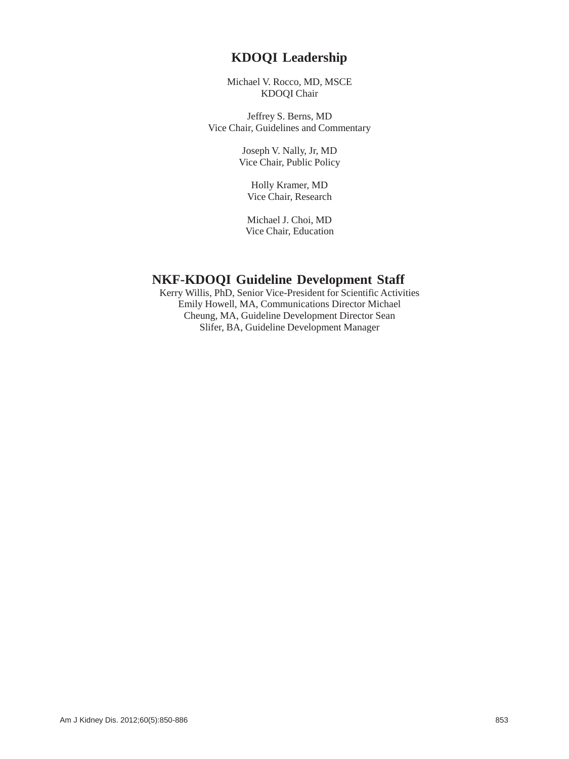### **KDOQI Leadership**

Michael V. Rocco, MD, MSCE KDOQI Chair

Jeffrey S. Berns, MD Vice Chair, Guidelines and Commentary

> Joseph V. Nally, Jr, MD Vice Chair, Public Policy

Holly Kramer, MD Vice Chair, Research

Michael J. Choi, MD Vice Chair, Education

### **NKF-KDOQI Guideline Development Staff**

Kerry Willis, PhD, Senior Vice-President for Scientific Activities Emily Howell, MA, Communications Director Michael Cheung, MA, Guideline Development Director Sean Slifer, BA, Guideline Development Manager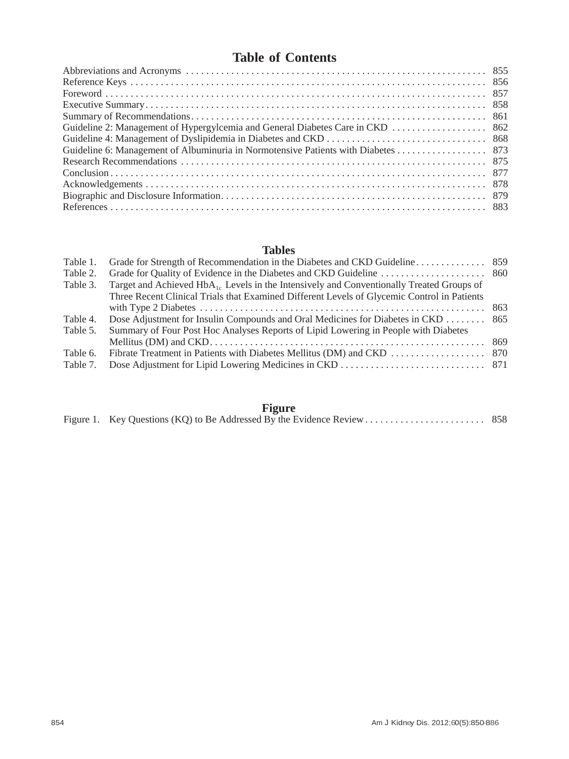### **Table of Contents**

| Guideline 6: Management of Albuminuria in Normotensive Patients with Diabetes 873 |  |
|-----------------------------------------------------------------------------------|--|
|                                                                                   |  |
|                                                                                   |  |
|                                                                                   |  |
|                                                                                   |  |
|                                                                                   |  |

### **Tables**

| Table 1. |                                                                                                       |  |
|----------|-------------------------------------------------------------------------------------------------------|--|
| Table 2. |                                                                                                       |  |
| Table 3. | Target and Achieved HbA <sub>1</sub> . Levels in the Intensively and Conventionally Treated Groups of |  |
|          | Three Recent Clinical Trials that Examined Different Levels of Glycemic Control in Patients           |  |
|          |                                                                                                       |  |
| Table 4. | Dose Adjustment for Insulin Compounds and Oral Medicines for Diabetes in CKD  865                     |  |
| Table 5. | Summary of Four Post Hoc Analyses Reports of Lipid Lowering in People with Diabetes                   |  |
|          |                                                                                                       |  |
| Table 6. |                                                                                                       |  |
| Table 7. |                                                                                                       |  |

## **Figure**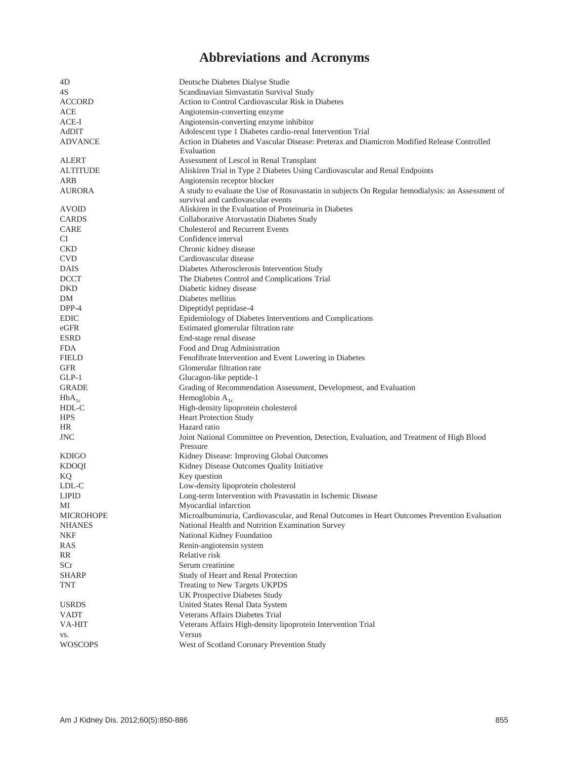# **Abbreviations and Acronyms**

| 4D                     | Deutsche Diabetes Dialyse Studie                                                                                                        |  |  |  |
|------------------------|-----------------------------------------------------------------------------------------------------------------------------------------|--|--|--|
| 4S                     | Scandinavian Simvastatin Survival Study                                                                                                 |  |  |  |
| <b>ACCORD</b>          | Action to Control Cardiovascular Risk in Diabetes                                                                                       |  |  |  |
| ACE                    | Angiotensin-converting enzyme                                                                                                           |  |  |  |
| ACE-I                  | Angiotensin-converting enzyme inhibitor                                                                                                 |  |  |  |
| AdDIT                  | Adolescent type 1 Diabetes cardio-renal Intervention Trial                                                                              |  |  |  |
| <b>ADVANCE</b>         | Action in Diabetes and Vascular Disease: Preterax and Diamicron Modified Release Controlled                                             |  |  |  |
|                        | Evaluation                                                                                                                              |  |  |  |
| <b>ALERT</b>           | Assessment of Lescol in Renal Transplant                                                                                                |  |  |  |
| <b>ALTITUDE</b>        | Aliskiren Trial in Type 2 Diabetes Using Cardiovascular and Renal Endpoints                                                             |  |  |  |
| ARB                    | Angiotensin receptor blocker                                                                                                            |  |  |  |
| <b>AURORA</b>          | A study to evaluate the Use of Rosuvastatin in subjects On Regular hemodialysis: an Assessment of<br>survival and cardiovascular events |  |  |  |
| AVOID                  | Aliskiren in the Evaluation of Proteinuria in Diabetes                                                                                  |  |  |  |
| <b>CARDS</b>           | Collaborative Atorvastatin Diabetes Study                                                                                               |  |  |  |
| CARE                   | Cholesterol and Recurrent Events                                                                                                        |  |  |  |
| CI                     | Confidence interval                                                                                                                     |  |  |  |
| <b>CKD</b>             | Chronic kidney disease                                                                                                                  |  |  |  |
| <b>CVD</b>             | Cardiovascular disease                                                                                                                  |  |  |  |
| <b>DAIS</b>            | Diabetes Atherosclerosis Intervention Study                                                                                             |  |  |  |
| <b>DCCT</b>            | The Diabetes Control and Complications Trial                                                                                            |  |  |  |
| <b>DKD</b>             | Diabetic kidney disease                                                                                                                 |  |  |  |
| DM                     | Diabetes mellitus                                                                                                                       |  |  |  |
| DPP-4                  | Dipeptidyl peptidase-4                                                                                                                  |  |  |  |
| <b>EDIC</b>            | Epidemiology of Diabetes Interventions and Complications                                                                                |  |  |  |
| $e$ GFR                | Estimated glomerular filtration rate                                                                                                    |  |  |  |
| <b>ESRD</b>            | End-stage renal disease                                                                                                                 |  |  |  |
| <b>FDA</b>             | Food and Drug Administration                                                                                                            |  |  |  |
| <b>FIELD</b>           |                                                                                                                                         |  |  |  |
| GFR                    | Fenofibrate Intervention and Event Lowering in Diabetes<br>Glomerular filtration rate                                                   |  |  |  |
| $GLP-1$                |                                                                                                                                         |  |  |  |
| <b>GRADE</b>           | Glucagon-like peptide-1                                                                                                                 |  |  |  |
|                        | Grading of Recommendation Assessment, Development, and Evaluation                                                                       |  |  |  |
| $HbA_{1c}$             | Hemoglobin $A_{1c}$                                                                                                                     |  |  |  |
| HDL-C<br><b>HPS</b>    | High-density lipoprotein cholesterol                                                                                                    |  |  |  |
|                        | <b>Heart Protection Study</b><br>Hazard ratio                                                                                           |  |  |  |
| HR                     |                                                                                                                                         |  |  |  |
| JNC                    | Joint National Committee on Prevention, Detection, Evaluation, and Treatment of High Blood<br>Pressure                                  |  |  |  |
| <b>KDIGO</b>           |                                                                                                                                         |  |  |  |
| <b>KDOOI</b>           | Kidney Disease: Improving Global Outcomes                                                                                               |  |  |  |
| KQ                     | Kidney Disease Outcomes Quality Initiative<br>Key question                                                                              |  |  |  |
| LDL-C                  | Low-density lipoprotein cholesterol                                                                                                     |  |  |  |
| <b>LIPID</b>           | Long-term Intervention with Pravastatin in Ischemic Disease                                                                             |  |  |  |
|                        |                                                                                                                                         |  |  |  |
| МI<br><b>MICROHOPE</b> | Myocardial infarction<br>Microalbuminuria, Cardiovascular, and Renal Outcomes in Heart Outcomes Prevention Evaluation                   |  |  |  |
| <b>NHANES</b>          | National Health and Nutrition Examination Survey                                                                                        |  |  |  |
|                        |                                                                                                                                         |  |  |  |
| NKF<br><b>RAS</b>      | National Kidney Foundation<br>Renin-angiotensin system                                                                                  |  |  |  |
|                        | Relative risk                                                                                                                           |  |  |  |
| RR                     |                                                                                                                                         |  |  |  |
| SCr                    | Serum creatinine                                                                                                                        |  |  |  |
| <b>SHARP</b>           | Study of Heart and Renal Protection                                                                                                     |  |  |  |
| TNT                    | Treating to New Targets UKPDS                                                                                                           |  |  |  |
|                        | UK Prospective Diabetes Study                                                                                                           |  |  |  |
| <b>USRDS</b>           | United States Renal Data System                                                                                                         |  |  |  |
| <b>VADT</b>            | Veterans Affairs Diabetes Trial                                                                                                         |  |  |  |
| VA-HIT                 | Veterans Affairs High-density lipoprotein Intervention Trial                                                                            |  |  |  |
| VS.                    | Versus                                                                                                                                  |  |  |  |
| WOSCOPS                | West of Scotland Coronary Prevention Study                                                                                              |  |  |  |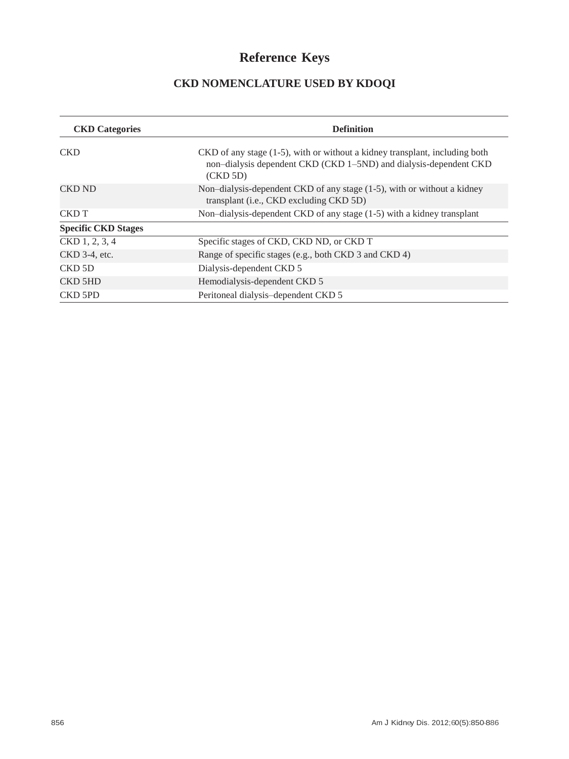# **Reference Keys**

### **CKD NOMENCLATURE USED BY KDOQI**

| <b>CKD</b> Categories      | <b>Definition</b>                                                                                                                                            |  |  |  |
|----------------------------|--------------------------------------------------------------------------------------------------------------------------------------------------------------|--|--|--|
| <b>CKD</b>                 | CKD of any stage (1-5), with or without a kidney transplant, including both<br>non-dialysis dependent CKD (CKD 1-5ND) and dialysis-dependent CKD<br>(CKD 5D) |  |  |  |
| CKD ND                     | Non-dialysis-dependent CKD of any stage $(1-5)$ , with or without a kidney<br>transplant (i.e., CKD excluding CKD 5D)                                        |  |  |  |
| CKD T                      | Non-dialysis-dependent CKD of any stage (1-5) with a kidney transplant                                                                                       |  |  |  |
| <b>Specific CKD Stages</b> |                                                                                                                                                              |  |  |  |
| CKD 1, 2, 3, 4             | Specific stages of CKD, CKD ND, or CKD T                                                                                                                     |  |  |  |
| CKD 3-4, etc.              | Range of specific stages (e.g., both CKD 3 and CKD 4)                                                                                                        |  |  |  |
| CKD <sub>5D</sub>          | Dialysis-dependent CKD 5                                                                                                                                     |  |  |  |
| CKD 5HD                    | Hemodialysis-dependent CKD 5                                                                                                                                 |  |  |  |
| CKD 5PD                    | Peritoneal dialysis–dependent CKD 5                                                                                                                          |  |  |  |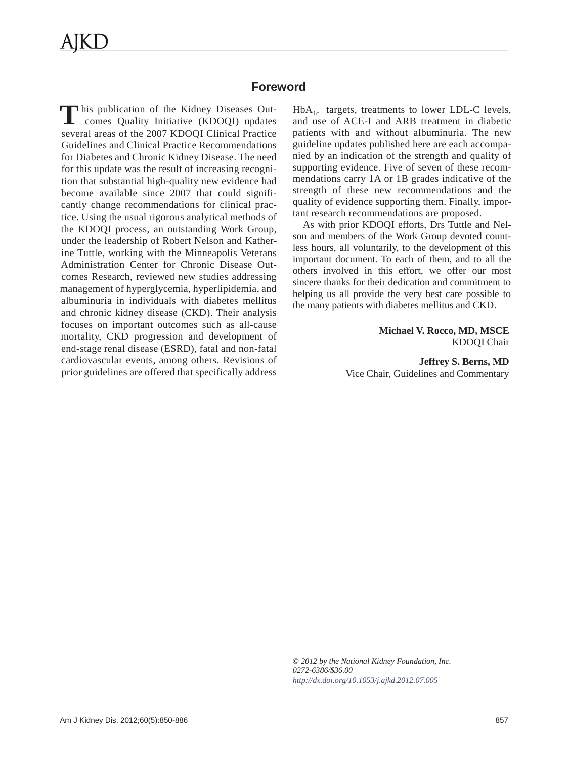### **Foreword**

This publication of the Kidney Diseases Out-<br>
comes Quality Initiative (KDOQI) updates comes Quality Initiative (KDOQI) updates several areas of the 2007 KDOQI Clinical Practice Guidelines and Clinical Practice Recommendations for Diabetes and Chronic Kidney Disease. The need for this update was the result of increasing recognition that substantial high-quality new evidence had become available since 2007 that could significantly change recommendations for clinical practice. Using the usual rigorous analytical methods of the KDOQI process, an outstanding Work Group, under the leadership of Robert Nelson and Katherine Tuttle, working with the Minneapolis Veterans Administration Center for Chronic Disease Outcomes Research, reviewed new studies addressing management of hyperglycemia, hyperlipidemia, and albuminuria in individuals with diabetes mellitus and chronic kidney disease (CKD). Their analysis focuses on important outcomes such as all-cause mortality, CKD progression and development of end-stage renal disease (ESRD), fatal and non-fatal cardiovascular events, among others. Revisions of prior guidelines are offered that specifically address

 $HbA_{1c}$  targets, treatments to lower LDL-C levels, and use of ACE-I and ARB treatment in diabetic patients with and without albuminuria. The new guideline updates published here are each accompanied by an indication of the strength and quality of supporting evidence. Five of seven of these recommendations carry 1A or 1B grades indicative of the strength of these new recommendations and the quality of evidence supporting them. Finally, important research recommendations are proposed.

As with prior KDOQI efforts, Drs Tuttle and Nelson and members of the Work Group devoted countless hours, all voluntarily, to the development of this important document. To each of them, and to all the others involved in this effort, we offer our most sincere thanks for their dedication and commitment to helping us all provide the very best care possible to the many patients with diabetes mellitus and CKD.

> **Michael V. Rocco, MD, MSCE** KDOQI Chair

**Jeffrey S. Berns, MD** Vice Chair, Guidelines and Commentary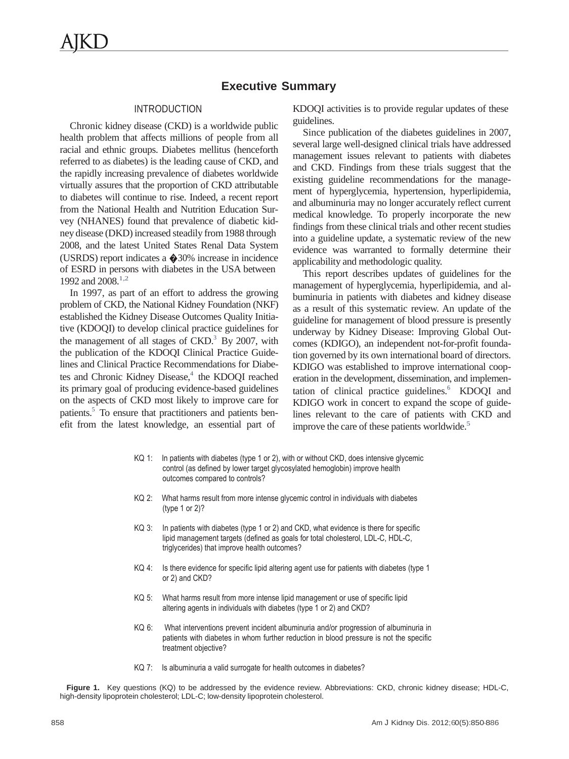### **Executive Summary**

#### INTRODUCTION

Chronic kidney disease (CKD) is a worldwide public health problem that affects millions of people from all racial and ethnic groups. Diabetes mellitus (henceforth referred to as diabetes) is the leading cause of CKD, and the rapidly increasing prevalence of diabetes worldwide virtually assures that the proportion of CKD attributable to diabetes will continue to rise. Indeed, a recent report from the National Health and Nutrition Education Survey (NHANES) found that prevalence of diabetic kidney disease (DKD) increased steadily from1988 through 2008, and the latest United States Renal Data System (USRDS) report indicates a �30% increase in incidence of ESRD in persons with diabetes in the USA between 1992 and 2008.<sup>1,2</sup>

In 1997, as part of an effort to address the growing problem of CKD, the National Kidney Foundation (NKF) established the Kidney Disease Outcomes Quality Initiative (KDOQI) to develop clinical practice guidelines for the management of all stages of  $CKD<sup>3</sup>$  By 2007, with the publication of the KDOQI Clinical Practice Guidelines and Clinical Practice Recommendations for Diabetes and Chronic Kidney Disease,<sup>4</sup> the KDOQI reached its primary goal of producing evidence-based guidelines on the aspects of CKD most likely to improve care for patients.<sup>5</sup> To ensure that practitioners and patients benefit from the latest knowledge, an essential part of

KDOQI activities is to provide regular updates of these guidelines.

Since publication of the diabetes guidelines in 2007, several large well-designed clinical trials have addressed management issues relevant to patients with diabetes and CKD. Findings from these trials suggest that the existing guideline recommendations for the management of hyperglycemia, hypertension, hyperlipidemia, and albuminuria may no longer accurately reflect current medical knowledge. To properly incorporate the new findings from these clinical trials and other recent studies into a guideline update, a systematic review of the new evidence was warranted to formally determine their applicability and methodologic quality.

This report describes updates of guidelines for the management of hyperglycemia, hyperlipidemia, and albuminuria in patients with diabetes and kidney disease as a result of this systematic review. An update of the guideline for management of blood pressure is presently underway by Kidney Disease: Improving Global Outcomes (KDIGO), an independent not-for-profit foundation governed by its own international board of directors. KDIGO was established to improve international cooperation in the development, dissemination, and implementation of clinical practice guidelines.<sup>6</sup> KDOQI and KDIGO work in concert to expand the scope of guidelines relevant to the care of patients with CKD and improve the care of these patients worldwide. 5

- KQ 1: In patients with diabetes (type 1 or 2), with or without CKD, does intensive glycemic control (as defined by lower target glycosylated hemoglobin) improve health outcomes compared to controls?
- KQ 2: What harms result from more intense glycemic control in individuals with diabetes (type 1 or 2)?
- KQ 3: In patients with diabetes (type 1 or 2) and CKD, what evidence is there for specific lipid management targets (defined as goals for total cholesterol, LDL-C, HDL-C, triglycerides) that improve health outcomes?
- KQ 4: Is there evidence for specific lipid altering agent use for patients with diabetes (type 1 or 2) and CKD?
- KQ 5: What harms result from more intense lipid management or use of specific lipid altering agents in individuals with diabetes (type 1 or 2) and CKD?
- KQ 6: What interventions prevent incident albuminuria and/or progression of albuminuria in patients with diabetes in whom further reduction in blood pressure is not the specific treatment objective?
- KQ 7: Is albuminuria a valid surrogate for health outcomes in diabetes?

**Figure 1.** Key questions (KQ) to be addressed by the evidence review. Abbreviations: CKD, chronic kidney disease; HDL-C, high-density lipoprotein cholesterol; LDL-C; low-density lipoprotein cholesterol.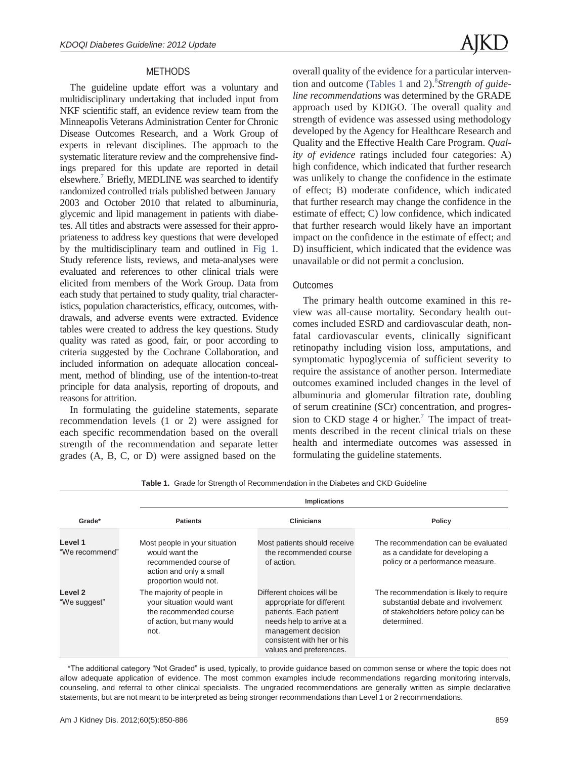#### **METHODS**

The guideline update effort was a voluntary and multidisciplinary undertaking that included input from NKF scientific staff, an evidence review team from the Minneapolis Veterans Administration Center for Chronic Disease Outcomes Research, and a Work Group of experts in relevant disciplines. The approach to the systematic literature review and the comprehensive findings prepared for this update are reported in detail elsewhere.<sup>7</sup> Briefly, MEDLINE was searched to identify randomized controlled trials published between January 2003 and October 2010 that related to albuminuria, glycemic and lipid management in patients with diabetes. All titles and abstracts were assessed for their appropriateness to address key questions that were developed by the multidisciplinary team and outlined in Fig 1. Study reference lists, reviews, and meta-analyses were evaluated and references to other clinical trials were elicited from members of the Work Group. Data from each study that pertained to study quality, trial characteristics, population characteristics, efficacy, outcomes, withdrawals, and adverse events were extracted. Evidence tables were created to address the key questions. Study quality was rated as good, fair, or poor according to criteria suggested by the Cochrane Collaboration, and included information on adequate allocation concealment, method of blinding, use of the intention-to-treat principle for data analysis, reporting of dropouts, and reasons for attrition.

In formulating the guideline statements, separate recommendation levels (1 or 2) were assigned for each specific recommendation based on the overall strength of the recommendation and separate letter grades (A, B, C, or D) were assigned based on the

overall quality of the evidence for a particular intervention and outcome (Tables 1 and 2).<sup>8</sup> Strength of guide*line recommendations* was determined by the GRADE approach used by KDIGO. The overall quality and strength of evidence was assessed using methodology developed by the Agency for Healthcare Research and Quality and the Effective Health Care Program. *Quality of evidence* ratings included four categories: A) high confidence, which indicated that further research was unlikely to change the confidence in the estimate of effect; B) moderate confidence, which indicated that further research may change the confidence in the estimate of effect; C) low confidence, which indicated that further research would likely have an important impact on the confidence in the estimate of effect; and D) insufficient, which indicated that the evidence was unavailable or did not permit a conclusion.

#### **Outcomes**

The primary health outcome examined in this review was all-cause mortality. Secondary health outcomes included ESRD and cardiovascular death, nonfatal cardiovascular events, clinically significant retinopathy including vision loss, amputations, and symptomatic hypoglycemia of sufficient severity to require the assistance of another person. Intermediate outcomes examined included changes in the level of albuminuria and glomerular filtration rate, doubling of serum creatinine (SCr) concentration, and progression to CKD stage 4 or higher.<sup>7</sup> The impact of treatments described in the recent clinical trials on these health and intermediate outcomes was assessed in formulating the guideline statements.

|                                    | <b>Implications</b>                                                                                                          |                                                                                                                                                                                               |                                                                                                                                      |  |  |
|------------------------------------|------------------------------------------------------------------------------------------------------------------------------|-----------------------------------------------------------------------------------------------------------------------------------------------------------------------------------------------|--------------------------------------------------------------------------------------------------------------------------------------|--|--|
| Grade*                             | <b>Patients</b>                                                                                                              | <b>Clinicians</b>                                                                                                                                                                             | Policy<br>The recommendation can be evaluated<br>as a candidate for developing a<br>policy or a performance measure.                 |  |  |
| Level 1<br>"We recommend"          | Most people in your situation<br>would want the<br>recommended course of<br>action and only a small<br>proportion would not. | Most patients should receive<br>the recommended course<br>of action.                                                                                                                          |                                                                                                                                      |  |  |
| Level <sub>2</sub><br>"We suggest" | The majority of people in<br>your situation would want<br>the recommended course<br>of action, but many would<br>not.        | Different choices will be<br>appropriate for different<br>patients. Each patient<br>needs help to arrive at a<br>management decision<br>consistent with her or his<br>values and preferences. | The recommendation is likely to require<br>substantial debate and involvement<br>of stakeholders before policy can be<br>determined. |  |  |

**Table 1.** Grade for Strength of Recommendation in the Diabetes and CKD Guideline

\*The additional category "Not Graded" is used, typically, to provide guidance based on common sense or where the topic does not allow adequate application of evidence. The most common examples include recommendations regarding monitoring intervals, counseling, and referral to other clinical specialists. The ungraded recommendations are generally written as simple declarative statements, but are not meant to be interpreted as being stronger recommendations than Level 1 or 2 recommendations.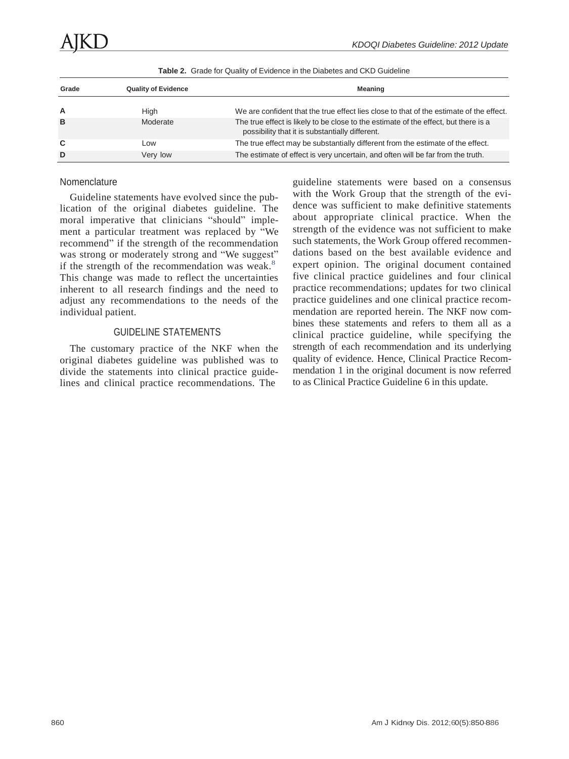| Grade | <b>Quality of Evidence</b> | Meaning                                                                                                                                |  |  |
|-------|----------------------------|----------------------------------------------------------------------------------------------------------------------------------------|--|--|
| A     | High                       | We are confident that the true effect lies close to that of the estimate of the effect.                                                |  |  |
| B     | Moderate                   | The true effect is likely to be close to the estimate of the effect, but there is a<br>possibility that it is substantially different. |  |  |
| C     | LOW                        | The true effect may be substantially different from the estimate of the effect.                                                        |  |  |
| D     | Very low                   | The estimate of effect is very uncertain, and often will be far from the truth.                                                        |  |  |

**Table 2.** Grade for Quality of Evidence in the Diabetes and CKD Guideline

#### Nomenclature

Guideline statements have evolved since the publication of the original diabetes guideline. The moral imperative that clinicians "should" implement a particular treatment was replaced by "We recommend" if the strength of the recommendation was strong or moderately strong and "We suggest" if the strength of the recommendation was weak.<sup>8</sup> This change was made to reflect the uncertainties inherent to all research findings and the need to adjust any recommendations to the needs of the individual patient.

#### GUIDELINE STATEMENTS

The customary practice of the NKF when the original diabetes guideline was published was to divide the statements into clinical practice guidelines and clinical practice recommendations. The

guideline statements were based on a consensus with the Work Group that the strength of the evidence was sufficient to make definitive statements about appropriate clinical practice. When the strength of the evidence was not sufficient to make such statements, the Work Group offered recommendations based on the best available evidence and expert opinion. The original document contained five clinical practice guidelines and four clinical practice recommendations; updates for two clinical practice guidelines and one clinical practice recommendation are reported herein. The NKF now combines these statements and refers to them all as a clinical practice guideline, while specifying the strength of each recommendation and its underlying quality of evidence. Hence, Clinical Practice Recommendation 1 in the original document is now referred to as Clinical Practice Guideline 6 in this update.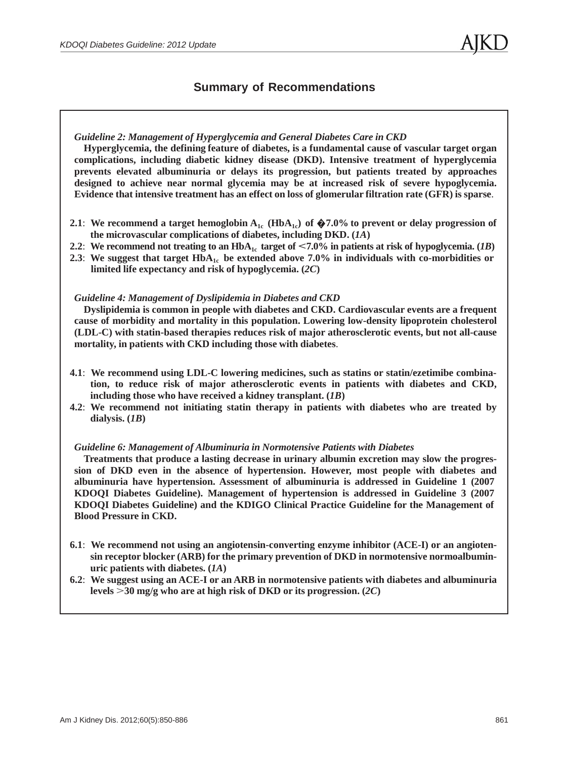### **Summary of Recommendations**

### *Guideline 2: Management of Hyperglycemia and General Diabetes Care in CKD*

**Hyperglycemia, the defining feature of diabetes, is a fundamental cause of vascular target organ complications, including diabetic kidney disease (DKD). Intensive treatment of hyperglycemia prevents elevated albuminuria or delays its progression, but patients treated by approaches designed to achieve near normal glycemia may be at increased risk of severe hypoglycemia. Evidence that intensive treatment has an effect on loss of glomerular filtration rate (GFR) is sparse**.

- 2.1: We recommend a target hemoglobin  $A_{1c}$  (Hb $A_{1c}$ ) of  $\hat{\phi}$ 7.0% to prevent or delay progression of **the microvascular complications of diabetes, including DKD. (***1A***)**
- 2.2: We recommend not treating to an  $HbA_{1c}$  target of <7.0% in patients at risk of hypoglycemia. (*IB*)
- **2.3**: **We suggest that target HbA1c be extended above 7.0% in individuals with co-morbidities or limited life expectancy and risk of hypoglycemia. (***2C***)**

#### *Guideline 4: Management of Dyslipidemia in Diabetes and CKD*

**Dyslipidemia is common in people with diabetes and CKD. Cardiovascular events are a frequent cause of morbidity and mortality in this population. Lowering low-density lipoprotein cholesterol (LDL-C) with statin-based therapies reduces risk of major atherosclerotic events, but not all-cause mortality, in patients with CKD including those with diabetes**.

- **4.1**: **We recommend using LDL-C lowering medicines, such as statins or statin/ezetimibe combination, to reduce risk of major atherosclerotic events in patients with diabetes and CKD, including those who have received a kidney transplant. (***1B***)**
- **4.2**: **We recommend not initiating statin therapy in patients with diabetes who are treated by dialysis. (***1B***)**

#### *Guideline 6: Management of Albuminuria in Normotensive Patients with Diabetes*

**Treatments that produce a lasting decrease in urinary albumin excretion may slow the progression of DKD even in the absence of hypertension. However, most people with diabetes and albuminuria have hypertension. Assessment of albuminuria is addressed in Guideline 1 (2007 KDOQI Diabetes Guideline). Management of hypertension is addressed in Guideline 3 (2007 KDOQI Diabetes Guideline) and the KDIGO Clinical Practice Guideline for the Management of Blood Pressure in CKD.**

- **6.1**: **We recommend not using an angiotensin-converting enzyme inhibitor (ACE-I) or an angiotensin receptor blocker (ARB) for the primary prevention of DKD in normotensive normoalbuminuric patients with diabetes. (***1A***)**
- **6.2**: **We suggest using an ACE-I or an ARB in normotensive patients with diabetes and albuminuria levels** >**<sup>30</sup> mg/g who are at high risk of DKD or its progression. (***2C***)**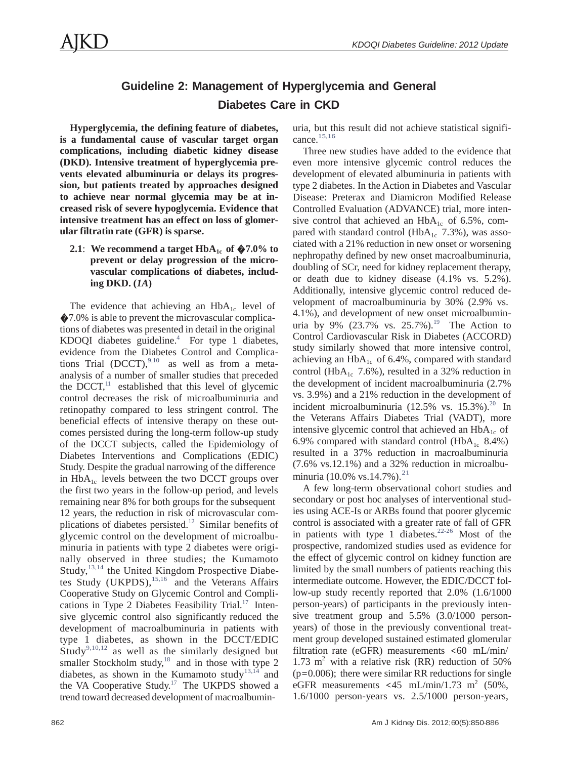## **Guideline 2: Management of Hyperglycemia and General Diabetes Care in CKD**

**Hyperglycemia, the defining feature of diabetes, is a fundamental cause of vascular target organ complications, including diabetic kidney disease (DKD). Intensive treatment of hyperglycemia prevents elevated albuminuria or delays its progression, but patients treated by approaches designed to achieve near normal glycemia may be at increased risk of severe hypoglycemia. Evidence that intensive treatment has an effect on loss of glomerular filtratin rate (GFR) is sparse.**

### **2.1**: We recommend a target  $HbA_1$  of  $\bigotimes 7.0\%$  to **prevent or delay progression of the microvascular complications of diabetes, including DKD. (***1A***)**

The evidence that achieving an  $HbA_{1c}$  level of  $\triangle 7.0\%$  is able to prevent the microvascular complications of diabetes was presented in detail in the original KDOQI diabetes guideline.<sup>4</sup> For type 1 diabetes, evidence from the Diabetes Control and Complications Trial  $(DCCT)$ ,  $9,10$  as well as from a metaanalysis of a number of smaller studies that preceded the  $DCCT$ ,<sup>11</sup> established that this level of glycemic control decreases the risk of microalbuminuria and retinopathy compared to less stringent control. The beneficial effects of intensive therapy on these outcomes persisted during the long-term follow-up study of the DCCT subjects, called the Epidemiology of Diabetes Interventions and Complications (EDIC) Study. Despite the gradual narrowing of the difference in  $HbA_{1c}$  levels between the two DCCT groups over the first two years in the follow-up period, and levels remaining near 8% for both groups for the subsequent 12 years, the reduction in risk of microvascular complications of diabetes persisted.<sup>12</sup> Similar benefits of glycemic control on the development of microalbuminuria in patients with type 2 diabetes were originally observed in three studies; the Kumamoto Study,<sup>13,14</sup> the United Kingdom Prospective Diabetes Study (UKPDS), $15,16$  and the Veterans Affairs Cooperative Study on Glycemic Control and Complications in Type 2 Diabetes Feasibility Trial. $17$  Intensive glycemic control also significantly reduced the development of macroalbuminuria in patients with type 1 diabetes, as shown in the DCCT/EDIC  $Study^{9,10,12}$  as well as the similarly designed but smaller Stockholm study, $18$  and in those with type 2 diabetes, as shown in the Kumamoto study<sup>13,14</sup> and the VA Cooperative Study.<sup>17</sup> The UKPDS showed a trend toward decreased development of macroalbumin-

Three new studies have added to the evidence that even more intensive glycemic control reduces the development of elevated albuminuria in patients with type 2 diabetes. In the Action in Diabetes and Vascular Disease: Preterax and Diamicron Modified Release Controlled Evaluation (ADVANCE) trial, more intensive control that achieved an  $HbA<sub>1c</sub>$  of 6.5%, compared with standard control ( $HbA_{1c}$  7.3%), was associated with a 21% reduction in new onset or worsening nephropathy defined by new onset macroalbuminuria, doubling of SCr, need for kidney replacement therapy, or death due to kidney disease (4.1% vs. 5.2%). Additionally, intensive glycemic control reduced development of macroalbuminuria by 30% (2.9% vs. 4.1%), and development of new onset microalbuminuria by 9% (23.7% vs. 25.7%).<sup>19</sup> The Action to Control Cardiovascular Risk in Diabetes (ACCORD) study similarly showed that more intensive control, achieving an  $HbA_{1c}$  of 6.4%, compared with standard control (HbA<sub>1c</sub> 7.6%), resulted in a 32% reduction in the development of incident macroalbuminuria (2.7% vs. 3.9%) and a 21% reduction in the development of incident microalbuminuria  $(12.5\% \text{ vs. } 15.3\%).^{20}$  In the Veterans Affairs Diabetes Trial (VADT), more intensive glycemic control that achieved an  $HbA_{1c}$  of 6.9% compared with standard control ( $HbA_{1c}$  8.4%) resulted in a 37% reduction in macroalbuminuria (7.6% vs.12.1%) and a 32% reduction in microalbuminuria (10.0% vs.14.7%).<sup>21</sup>

A few long-term observational cohort studies and secondary or post hoc analyses of interventional studies using ACE-Is or ARBs found that poorer glycemic control is associated with a greater rate of fall of GFR in patients with type 1 diabetes.<sup>22-26</sup> Most of the prospective, randomized studies used as evidence for the effect of glycemic control on kidney function are limited by the small numbers of patients reaching this intermediate outcome. However, the EDIC/DCCT follow-up study recently reported that 2.0% (1.6/1000 person-years) of participants in the previously intensive treatment group and 5.5% (3.0/1000 personyears) of those in the previously conventional treatment group developed sustained estimated glomerular filtration rate (eGFR) measurements  $\leq 60$  mL/min/ 1.73  $m^2$  with a relative risk (RR) reduction of 50%  $(p=0.006)$ ; there were similar RR reductions for single eGFR measurements <45 mL/min/1.73 m<sup>2</sup> (50%, 1.6/1000 person-years vs. 2.5/1000 person-years,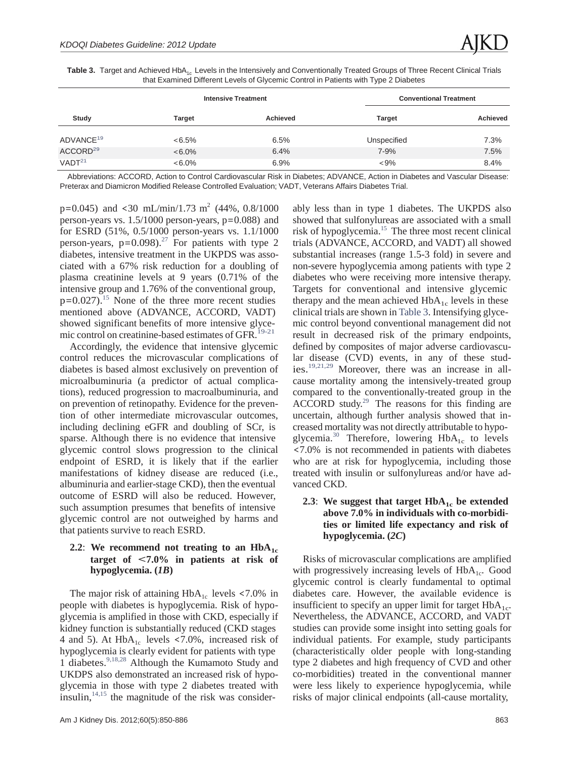| Table 3. Target and Achieved HbA <sub>10</sub> Levels in the Intensively and Conventionally Treated Groups of Three Recent Clinical Trials |
|--------------------------------------------------------------------------------------------------------------------------------------------|
| that Examined Different Levels of Glycemic Control in Patients with Type 2 Diabetes                                                        |

| <b>Intensive Treatment</b> |               |          |               | <b>Conventional Treatment</b> |  |
|----------------------------|---------------|----------|---------------|-------------------------------|--|
| Study                      | <b>Target</b> | Achieved | <b>Target</b> | Achieved                      |  |
| ADVANCE <sup>19</sup>      | $<6.5\%$      | 6.5%     | Unspecified   | 7.3%                          |  |
| ACCORD <sup>29</sup>       | $< 6.0\%$     | 6.4%     | $7 - 9%$      | 7.5%                          |  |
| VADT <sup>21</sup>         | $< 6.0\%$     | 6.9%     | $<9\%$        | 8.4%                          |  |

Abbreviations: ACCORD, Action to Control Cardiovascular Risk in Diabetes; ADVANCE, Action in Diabetes and Vascular Disease: Preterax and Diamicron Modified Release Controlled Evaluation; VADT, Veterans Affairs Diabetes Trial.

 $p=0.045$ ) and <30 mL/min/1.73 m<sup>2</sup> (44%, 0.8/1000 person-years vs. 1.5/1000 person-years, p=0.088) and for ESRD (51%, 0.5/1000 person-years vs. 1.1/1000 person-years,  $p=0.098$ .<sup>27</sup> For patients with type 2 diabetes, intensive treatment in the UKPDS was associated with a 67% risk reduction for a doubling of plasma creatinine levels at 9 years (0.71% of the intensive group and 1.76% of the conventional group,  $p=0.027$ .<sup>15</sup> None of the three more recent studies therapy and the mean achieved HbA<sub>1c</sub> levels in these mentioned above (ADVANCE, ACCORD, VADT) showed significant benefits of more intensive glycemic control on creatinine-based estimates of GFR.<sup>19-21</sup>

sparse. Although there is no evidence that intensive glycemia.<sup>30</sup> Therefore, lowering  $HbA_{1c}$  to levels Accordingly, the evidence that intensive glycemic control reduces the microvascular complications of diabetes is based almost exclusively on prevention of microalbuminuria (a predictor of actual complications), reduced progression to macroalbuminuria, and on prevention of retinopathy. Evidence for the prevention of other intermediate microvascular outcomes, including declining eGFR and doubling of SCr, is glycemic control slows progression to the clinical endpoint of ESRD, it is likely that if the earlier manifestations of kidney disease are reduced (i.e., albuminuria and earlier-stage CKD), then the eventual outcome of ESRD will also be reduced. However, such assumption presumes that benefits of intensive **2.3**: We suggest that target  $HbA_{1c}$  be extended such assumption presumes that benefits of intensive glycemic control are not outweighed by harms and that patients survive to reach ESRD.

#### 2.2: We recommend not treating to an  $HbA_{1c}$ **target of <7.0% in patients at risk of hypoglycemia. (***1B***)**

The major risk of attaining  $HbA_{1c}$  levels <7.0% in people with diabetes is hypoglycemia. Risk of hypoglycemia is amplified in those with CKD, especially if kidney function is substantially reduced (CKD stages 4 and 5). At  $HbA_{1c}$  levels <7.0%, increased risk of hypoglycemia is clearly evident for patients with type 1 diabetes.9,18,28 Although the Kumamoto Study and UKDPS also demonstrated an increased risk of hypoglycemia in those with type 2 diabetes treated with insulin, $14,15$  the magnitude of the risk was considerably less than in type 1 diabetes. The UKPDS also showed that sulfonylureas are associated with a small risk of hypoglycemia. $15$  The three most recent clinical trials (ADVANCE, ACCORD, and VADT) all showed substantial increases (range 1.5-3 fold) in severe and non-severe hypoglycemia among patients with type 2 diabetes who were receiving more intensive therapy. Targets for conventional and intensive glycemic clinical trials are shown in Table 3. Intensifying glycemic control beyond conventional management did not result in decreased risk of the primary endpoints, defined by composites of major adverse cardiovascular disease (CVD) events, in any of these studies.19,21,29 Moreover, there was an increase in allcause mortality among the intensively-treated group compared to the conventionally-treated group in the  $ACCORD$  study.<sup>29</sup> The reasons for this finding are uncertain, although further analysis showed that increased mortality was not directly attributable to hypo-<7.0% is not recommended in patients with diabetes who are at risk for hypoglycemia, including those treated with insulin or sulfonylureas and/or have advanced CKD.

### **above 7.0% in individuals with co-morbidities or limited life expectancy and risk of hypoglycemia. (***2C***)**

Risks of microvascular complications are amplified with progressively increasing levels of  $HbA_{1c}$ . Good glycemic control is clearly fundamental to optimal diabetes care. However, the available evidence is insufficient to specify an upper limit for target  $HbA_{1c}$ . Nevertheless, the ADVANCE, ACCORD, and VADT studies can provide some insight into setting goals for individual patients. For example, study participants (characteristically older people with long-standing type 2 diabetes and high frequency of CVD and other co-morbidities) treated in the conventional manner were less likely to experience hypoglycemia, while risks of major clinical endpoints (all-cause mortality,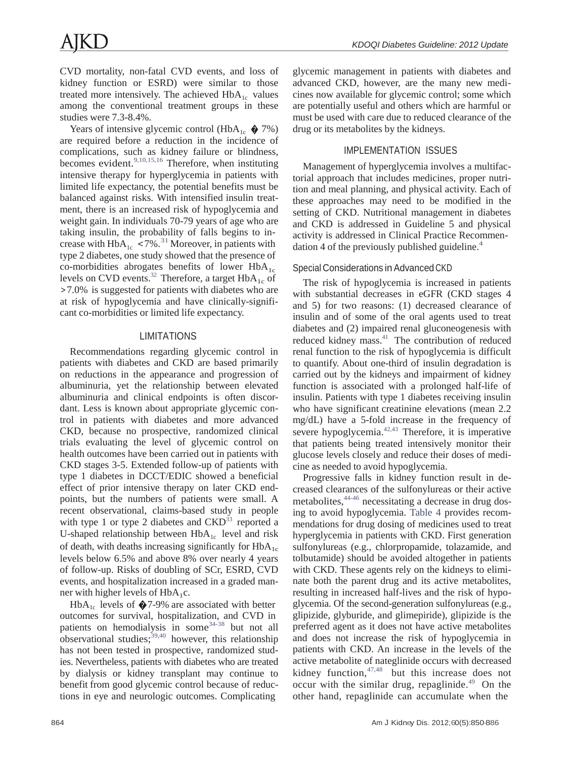CVD mortality, non-fatal CVD events, and loss of kidney function or ESRD) were similar to those treated more intensively. The achieved  $HbA<sub>1c</sub>$  values among the conventional treatment groups in these studies were 7.3-8.4%.

levels on CVD events.<sup>32</sup> Therefore, a target  $HbA_{1c}$  of Years of intensive glycemic control (HbA<sub>1c</sub>  $\otimes$  7%) are required before a reduction in the incidence of complications, such as kidney failure or blindness, becomes evident. $9,10,15,16$  Therefore, when instituting intensive therapy for hyperglycemia in patients with limited life expectancy, the potential benefits must be balanced against risks. With intensified insulin treatment, there is an increased risk of hypoglycemia and weight gain. In individuals 70-79 years of age who are taking insulin, the probability of falls begins to increase with  $HbA_{1c} < 7\%$ .<sup>31</sup> Moreover, in patients with dation 4 of the previously published guideline.<sup>4</sup> type 2 diabetes, one study showed that the presence of co-morbidities abrogates benefits of lower  $HbA_{1c}$ >7.0% is suggested for patients with diabetes who are at risk of hypoglycemia and have clinically-significant co-morbidities or limited life expectancy.

#### LIMITATIONS

Recommendations regarding glycemic control in patients with diabetes and CKD are based primarily on reductions in the appearance and progression of albuminuria, yet the relationship between elevated albuminuria and clinical endpoints is often discordant. Less is known about appropriate glycemic control in patients with diabetes and more advanced CKD, because no prospective, randomized clinical trials evaluating the level of glycemic control on health outcomes have been carried out in patients with CKD stages 3-5. Extended follow-up of patients with type 1 diabetes in DCCT/EDIC showed a beneficial effect of prior intensive therapy on later CKD endpoints, but the numbers of patients were small. A recent observational, claims-based study in people with type 1 or type 2 diabetes and  $CKD<sup>33</sup>$  reported a U-shaped relationship between  $HbA_{1c}$  level and risk of death, with deaths increasing significantly for  $HbA_{1c}$ levels below 6.5% and above 8% over nearly 4 years of follow-up. Risks of doubling of SCr, ESRD, CVD events, and hospitalization increased in a graded manner with higher levels of  $HbA_1c$ .

HbA<sub>1c</sub> levels of  $\bigotimes$ 7-9% are associated with better outcomes for survival, hospitalization, and CVD in patients on hemodialysis in some<sup>34-38</sup> but not all observational studies;  $39,40$  however, this relationship has not been tested in prospective, randomized studies. Nevertheless, patients with diabetes who are treated by dialysis or kidney transplant may continue to benefit from good glycemic control because of reductions in eye and neurologic outcomes. Complicating

glycemic management in patients with diabetes and advanced CKD, however, are the many new medicines now available for glycemic control; some which are potentially useful and others which are harmful or must be used with care due to reduced clearance of the drug or its metabolites by the kidneys.

### IMPLEMENTATION ISSUES

Management of hyperglycemia involves a multifactorial approach that includes medicines, proper nutrition and meal planning, and physical activity. Each of these approaches may need to be modified in the setting of CKD. Nutritional management in diabetes and CKD is addressed in Guideline 5 and physical activity is addressed in Clinical Practice Recommen-

### Special Considerations in Advanced CKD

The risk of hypoglycemia is increased in patients with substantial decreases in eGFR (CKD stages 4 and 5) for two reasons: (1) decreased clearance of insulin and of some of the oral agents used to treat diabetes and (2) impaired renal gluconeogenesis with reduced kidney mass. $41$  The contribution of reduced renal function to the risk of hypoglycemia is difficult to quantify. About one-third of insulin degradation is carried out by the kidneys and impairment of kidney function is associated with a prolonged half-life of insulin. Patients with type 1 diabetes receiving insulin who have significant creatinine elevations (mean 2.2 mg/dL) have a 5-fold increase in the frequency of severe hypoglycemia. $42,43$  Therefore, it is imperative that patients being treated intensively monitor their glucose levels closely and reduce their doses of medicine as needed to avoid hypoglycemia.

Progressive falls in kidney function result in decreased clearances of the sulfonylureas or their active metabolites,<sup>44-46</sup> necessitating a decrease in drug dosing to avoid hypoglycemia. Table 4 provides recommendations for drug dosing of medicines used to treat hyperglycemia in patients with CKD. First generation sulfonylureas (e.g., chlorpropamide, tolazamide, and tolbutamide) should be avoided altogether in patients with CKD. These agents rely on the kidneys to eliminate both the parent drug and its active metabolites, resulting in increased half-lives and the risk of hypoglycemia. Of the second-generation sulfonylureas (e.g., glipizide, glyburide, and glimepiride), glipizide is the preferred agent as it does not have active metabolites and does not increase the risk of hypoglycemia in patients with CKD. An increase in the levels of the active metabolite of nateglinide occurs with decreased kidney function,  $47,48$  but this increase does not occur with the similar drug, repaglinide. $49$  On the other hand, repaglinide can accumulate when the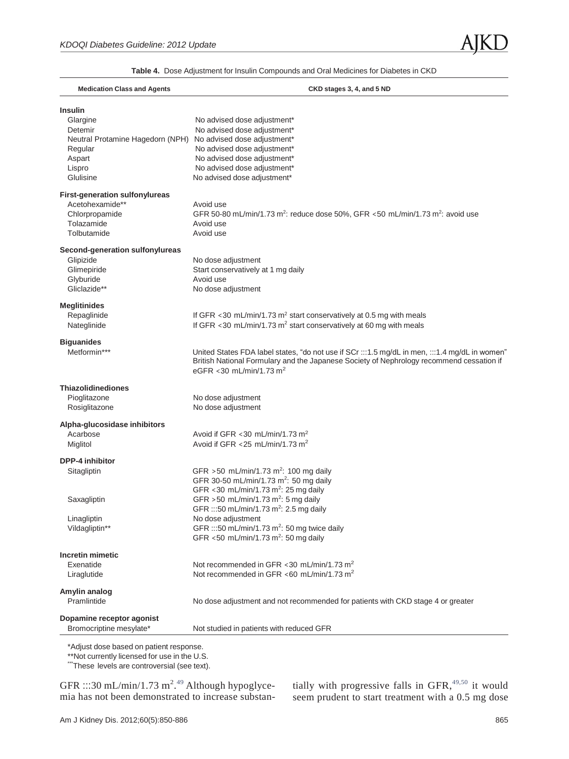**Table 4.** Dose Adjustment for Insulin Compounds and Oral Medicines for Diabetes in CKD

| <b>Medication Class and Agents</b>                   | CKD stages 3, 4, and 5 ND                                                                                                        |
|------------------------------------------------------|----------------------------------------------------------------------------------------------------------------------------------|
| <b>Insulin</b>                                       |                                                                                                                                  |
| Glargine                                             | No advised dose adjustment*                                                                                                      |
| Detemir                                              | No advised dose adjustment*                                                                                                      |
| Neutral Protamine Hagedorn (NPH)                     | No advised dose adjustment*                                                                                                      |
| Regular                                              | No advised dose adjustment*                                                                                                      |
| Aspart                                               | No advised dose adjustment*                                                                                                      |
| Lispro                                               | No advised dose adjustment*                                                                                                      |
| Glulisine                                            | No advised dose adjustment*                                                                                                      |
| <b>First-generation sulfonylureas</b>                |                                                                                                                                  |
| Acetohexamide**                                      | Avoid use                                                                                                                        |
| Chlorpropamide                                       | GFR 50-80 mL/min/1.73 m <sup>2</sup> : reduce dose 50%, GFR <50 mL/min/1.73 m <sup>2</sup> : avoid use                           |
| Tolazamide                                           | Avoid use                                                                                                                        |
| Tolbutamide                                          | Avoid use                                                                                                                        |
| Second-generation sulfonylureas                      |                                                                                                                                  |
| Glipizide                                            | No dose adjustment                                                                                                               |
| Glimepiride                                          | Start conservatively at 1 mg daily                                                                                               |
| Glyburide                                            | Avoid use                                                                                                                        |
| Gliclazide**                                         | No dose adjustment                                                                                                               |
| <b>Meglitinides</b>                                  |                                                                                                                                  |
| Repaglinide                                          | If GFR <30 mL/min/1.73 $m^2$ start conservatively at 0.5 mg with meals                                                           |
| Nateglinide                                          | If GFR <30 mL/min/1.73 $m^2$ start conservatively at 60 mg with meals                                                            |
| <b>Biguanides</b>                                    |                                                                                                                                  |
| Metformin***                                         | United States FDA label states, "do not use if SCr ::: 1.5 mg/dL in men, ::: 1.4 mg/dL in women"                                 |
|                                                      | British National Formulary and the Japanese Society of Nephrology recommend cessation if<br>eGFR < 30 mL/min/1.73 m <sup>2</sup> |
| <b>Thiazolidinediones</b>                            |                                                                                                                                  |
| Pioglitazone                                         | No dose adjustment                                                                                                               |
| Rosiglitazone                                        | No dose adjustment                                                                                                               |
| Alpha-glucosidase inhibitors                         |                                                                                                                                  |
| Acarbose                                             | Avoid if GFR < 30 mL/min/1.73 m <sup>2</sup>                                                                                     |
| Miglitol                                             | Avoid if GFR < 25 mL/min/1.73 m <sup>2</sup>                                                                                     |
| <b>DPP-4 inhibitor</b>                               |                                                                                                                                  |
| Sitagliptin                                          | GFR > 50 mL/min/1.73 m <sup>2</sup> : 100 mg daily                                                                               |
|                                                      | GFR 30-50 mL/min/1.73 m <sup>2</sup> : 50 mg daily                                                                               |
|                                                      | GFR < 30 mL/min/1.73 m <sup>2</sup> : 25 mg daily                                                                                |
| Saxagliptin                                          | GFR > 50 mL/min/1.73 m <sup>2</sup> : 5 mg daily                                                                                 |
|                                                      | GFR :::50 mL/min/1.73 m <sup>2</sup> : 2.5 mg daily                                                                              |
| Linagliptin                                          | No dose adjustment                                                                                                               |
| Vildagliptin**                                       | GFR :::50 mL/min/1.73 m <sup>2</sup> : 50 mg twice daily<br>GFR <50 mL/min/1.73 m <sup>2</sup> : 50 mg daily                     |
| <b>Incretin mimetic</b>                              |                                                                                                                                  |
| Exenatide                                            | Not recommended in GFR < 30 mL/min/1.73 m <sup>2</sup>                                                                           |
| Liraglutide                                          | Not recommended in GFR <60 mL/min/1.73 m <sup>2</sup>                                                                            |
| Amylin analog                                        |                                                                                                                                  |
| Pramlintide                                          | No dose adjustment and not recommended for patients with CKD stage 4 or greater                                                  |
| Dopamine receptor agonist<br>Bromocriptine mesylate* | Not studied in patients with reduced GFR                                                                                         |

\*Adjust dose based on patient response.

\*\*Not currently licensed for use in the U.S.

\*\*\*These levels are controversial (see text).

GFR  $\ldots$ 30 mL/min/1.73 m<sup>2.49</sup> Although hypoglycemia has not been demonstrated to increase substantially with progressive falls in  $GFR$ ,  $49,50$  it would seem prudent to start treatment with a 0.5 mg dose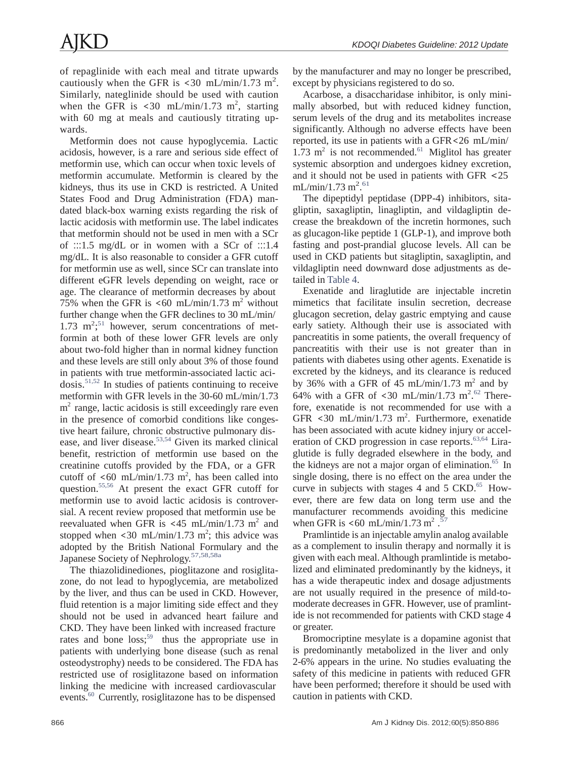of repaglinide with each meal and titrate upwards cautiously when the GFR is <30 mL/min/1.73 m<sup>2</sup>. Similarly, nateglinide should be used with caution when the GFR is  $\lt 30$  mL/min/1.73 m<sup>2</sup>, starting with 60 mg at meals and cautiously titrating upwards.

Metformin does not cause hypoglycemia. Lactic acidosis, however, is a rare and serious side effect of metformin use, which can occur when toxic levels of metformin accumulate. Metformin is cleared by the kidneys, thus its use in CKD is restricted. A United States Food and Drug Administration (FDA) mandated black-box warning exists regarding the risk of lactic acidosis with metformin use. The label indicates that metformin should not be used in men with a SCr of :::1.5 mg/dL or in women with a SCr of :::1.4 mg/dL. It is also reasonable to consider a GFR cutoff for metformin use as well, since SCr can translate into different eGFR levels depending on weight, race or age. The clearance of metformin decreases by about 75% when the GFR is  $\leq 60$  mL/min/1.73 m<sup>2</sup> without further change when the GFR declines to 30 mL/min/  $1.73 \text{ m}^2$ ;<sup>51</sup> however, serum concentrations of metformin at both of these lower GFR levels are only about two-fold higher than in normal kidney function and these levels are still only about 3% of those found in patients with true metformin-associated lactic acidosis.51,52 In studies of patients continuing to receive metformin with GFR levels in the 30-60 mL/min/1.73  $m<sup>2</sup>$  range, lactic acidosis is still exceedingly rare even in the presence of comorbid conditions like congestive heart failure, chronic obstructive pulmonary disease, and liver disease.<sup>53,54</sup> Given its marked clinical benefit, restriction of metformin use based on the creatinine cutoffs provided by the FDA, or a GFR cutoff of  $\leq 60$  mL/min/1.73 m<sup>2</sup>, has been called into question.55,56 At present the exact GFR cutoff for metformin use to avoid lactic acidosis is controversial. A recent review proposed that metformin use be reevaluated when GFR is  $\lt 45$  mL/min/1.73 m<sup>2</sup> and stopped when  $\langle 30 \text{ mL/min}/1.73 \text{ m}^2 \rangle$ ; this advice was adopted by the British National Formulary and the Japanese Society of Nephrology.<sup>57,58,58a</sup>

The thiazolidinediones, pioglitazone and rosiglitazone, do not lead to hypoglycemia, are metabolized by the liver, and thus can be used in CKD. However, fluid retention is a major limiting side effect and they should not be used in advanced heart failure and CKD. They have been linked with increased fracture rates and bone  $loss$ <sup>59</sup>, thus the appropriate use in patients with underlying bone disease (such as renal osteodystrophy) needs to be considered. The FDA has restricted use of rosiglitazone based on information linking the medicine with increased cardiovascular events.<sup>60</sup> Currently, rosiglitazone has to be dispensed

by the manufacturer and may no longer be prescribed, except by physicians registered to do so.

Acarbose, a disaccharidase inhibitor, is only minimally absorbed, but with reduced kidney function, serum levels of the drug and its metabolites increase significantly. Although no adverse effects have been reported, its use in patients with a GFR<26 mL/min/  $1.73 \text{ m}^2$  is not recommended.<sup>61</sup> Miglitol has greater systemic absorption and undergoes kidney excretion, and it should not be used in patients with GFR <25  $mL/min/1.73 m<sup>2.61</sup>$ 

The dipeptidyl peptidase (DPP-4) inhibitors, sitagliptin, saxagliptin, linagliptin, and vildagliptin decrease the breakdown of the incretin hormones, such as glucagon-like peptide 1 (GLP-1), and improve both fasting and post-prandial glucose levels. All can be used in CKD patients but sitagliptin, saxagliptin, and vildagliptin need downward dose adjustments as detailed in Table 4.

Exenatide and liraglutide are injectable incretin mimetics that facilitate insulin secretion, decrease glucagon secretion, delay gastric emptying and cause early satiety. Although their use is associated with pancreatitis in some patients, the overall frequency of pancreatitis with their use is not greater than in patients with diabetes using other agents. Exenatide is excreted by the kidneys, and its clearance is reduced by 36% with a GFR of 45 mL/min/1.73  $m^2$  and by 64% with a GFR of <30 mL/min/1.73 m<sup>2.62</sup> Therefore, exenatide is not recommended for use with a GFR <30 mL/min/1.73 m<sup>2</sup>. Furthermore, exenatide has been associated with acute kidney injury or acceleration of CKD progression in case reports.<sup>63,64</sup> Liraglutide is fully degraded elsewhere in the body, and the kidneys are not a major organ of elimination.<sup>65</sup> In single dosing, there is no effect on the area under the curve in subjects with stages 4 and 5 CKD. $^{65}$  However, there are few data on long term use and the manufacturer recommends avoiding this medicine when GFR is <60 mL/min/1.73 m<sup>2</sup>.<sup>57</sup>

Pramlintide is an injectable amylin analog available as a complement to insulin therapy and normally it is given with each meal. Although pramlintide is metabolized and eliminated predominantly by the kidneys, it has a wide therapeutic index and dosage adjustments are not usually required in the presence of mild-tomoderate decreases in GFR. However, use of pramlintide is not recommended for patients with CKD stage 4 or greater.

Bromocriptine mesylate is a dopamine agonist that is predominantly metabolized in the liver and only 2-6% appears in the urine. No studies evaluating the safety of this medicine in patients with reduced GFR have been performed; therefore it should be used with caution in patients with CKD.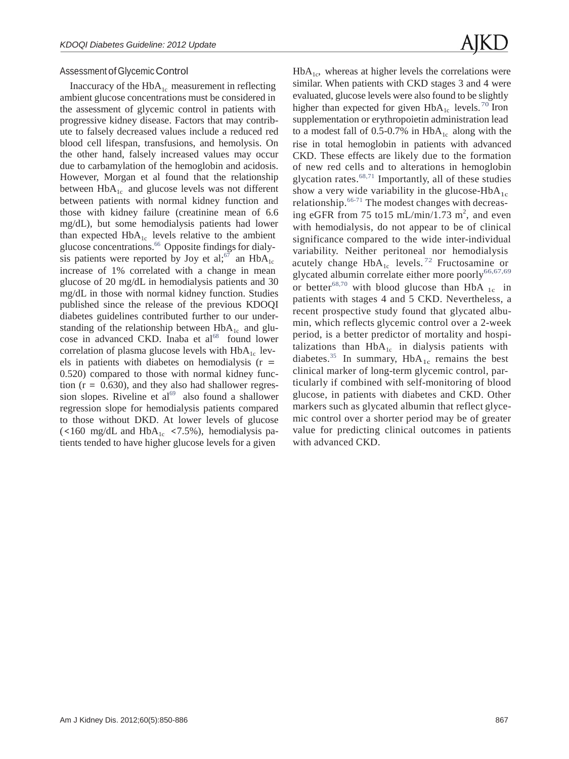#### Assessment of Glycemic Control

els in patients with diabetes on hemodialysis ( $r =$  diabetes.<sup>35</sup> In summary, HbA<sub>1c</sub> remains the best Inaccuracy of the  $HbA_{1c}$  measurement in reflecting ambient glucose concentrations must be considered in the assessment of glycemic control in patients with higher than expected for given  $HbA_{1c}$  levels.<sup>70</sup> Iron progressive kidney disease. Factors that may contribute to falsely decreased values include a reduced red blood cell lifespan, transfusions, and hemolysis. On the other hand, falsely increased values may occur due to carbamylation of the hemoglobin and acidosis. However, Morgan et al found that the relationship between  $HbA_{1c}$  and glucose levels was not different between patients with normal kidney function and those with kidney failure (creatinine mean of 6.6 mg/dL), but some hemodialysis patients had lower than expected  $HbA_{1c}$  levels relative to the ambient glucose concentrations.<sup>66</sup> Opposite findings for dialysis patients were reported by Joy et al;<sup>67</sup> an HbA<sub>1c</sub> increase of 1% correlated with a change in mean glucose of 20 mg/dL in hemodialysis patients and 30 mg/dL in those with normal kidney function. Studies published since the release of the previous KDOQI diabetes guidelines contributed further to our understanding of the relationship between  $HbA_{1c}$  and glucose in advanced CKD. Inaba et al<sup>68</sup> found lower correlation of plasma glucose levels with  $HbA_{1c}$  lev-0.520) compared to those with normal kidney function  $(r = 0.630)$ , and they also had shallower regression slopes. Riveline et  $al^{69}$  also found a shallower regression slope for hemodialysis patients compared to those without DKD. At lower levels of glucose (<160 mg/dL and  $HbA_{1c}$  <7.5%), hemodialysis patients tended to have higher glucose levels for a given

or better<sup>68,70</sup> with blood glucose than HbA <sub>1c</sub> in  $HbA<sub>1c</sub>$ , whereas at higher levels the correlations were similar. When patients with CKD stages 3 and 4 were evaluated, glucose levels were also found to be slightly supplementation or erythropoietin administration lead to a modest fall of  $0.5$ -0.7% in HbA<sub>1c</sub> along with the rise in total hemoglobin in patients with advanced CKD. These effects are likely due to the formation of new red cells and to alterations in hemoglobin glycation rates. $68,71$  Importantly, all of these studies show a very wide variability in the glucose-HbA<sub>1c</sub> relationship.66-71 The modest changes with decreasing eGFR from 75 to 15 mL/min/1.73 m<sup>2</sup>, and even with hemodialysis, do not appear to be of clinical significance compared to the wide inter-individual variability. Neither peritoneal nor hemodialysis acutely change  $HbA_{1c}$  levels.<sup>72</sup> Fructosamine or glycated albumin correlate either more poorly $^{66,67,69}$ patients with stages 4 and 5 CKD. Nevertheless, a recent prospective study found that glycated albumin, which reflects glycemic control over a 2-week period, is a better predictor of mortality and hospitalizations than  $HbA_{1c}$  in dialysis patients with clinical marker of long-term glycemic control, particularly if combined with self-monitoring of blood glucose, in patients with diabetes and CKD. Other markers such as glycated albumin that reflect glycemic control over a shorter period may be of greater value for predicting clinical outcomes in patients with advanced CKD.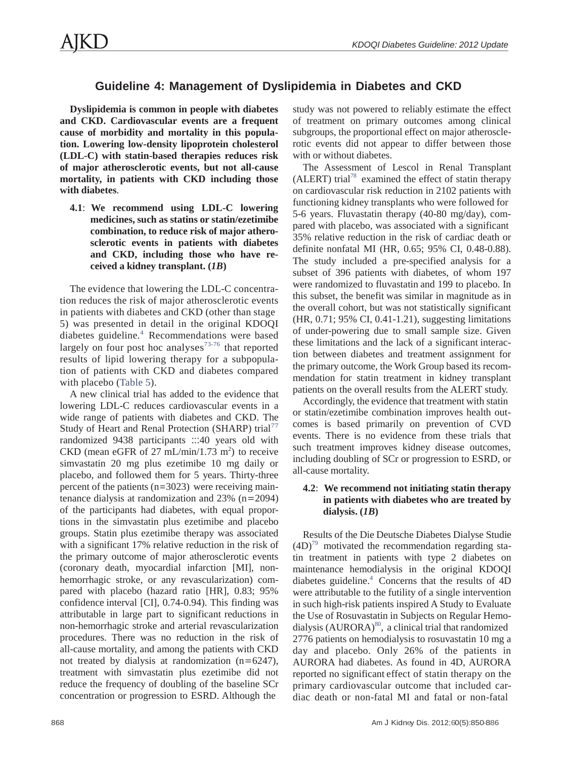### **Guideline 4: Management of Dyslipidemia in Diabetes and CKD**

**Dyslipidemia is common in people with diabetes and CKD. Cardiovascular events are a frequent cause of morbidity and mortality in this population. Lowering low-density lipoprotein cholesterol (LDL-C) with statin-based therapies reduces risk of major atherosclerotic events, but not all-cause mortality, in patients with CKD including those with diabetes**.

**4.1**: **We recommend using LDL-C lowering medicines, such as statins or statin/ezetimibe combination, to reduce risk of major atherosclerotic events in patients with diabetes and CKD, including those who have received a kidney transplant. (***1B***)**

The evidence that lowering the LDL-C concentration reduces the risk of major atherosclerotic events in patients with diabetes and CKD (other than stage 5) was presented in detail in the original KDOQI diabetes guideline.<sup>4</sup> Recommendations were based largely on four post hoc analyses $73-76$  that reported results of lipid lowering therapy for a subpopulation of patients with CKD and diabetes compared with placebo (Table 5).

A new clinical trial has added to the evidence that lowering LDL-C reduces cardiovascular events in a wide range of patients with diabetes and CKD. The Study of Heart and Renal Protection (SHARP) trial<sup>77</sup> randomized 9438 participants :::40 years old with CKD (mean eGFR of 27 mL/min/1.73 m<sup>2</sup>) to receive simvastatin 20 mg plus ezetimibe 10 mg daily or placebo, and followed them for 5 years. Thirty-three percent of the patients (n=3023) were receiving maintenance dialysis at randomization and 23% (n=2094) of the participants had diabetes, with equal proportions in the simvastatin plus ezetimibe and placebo groups. Statin plus ezetimibe therapy was associated with a significant 17% relative reduction in the risk of the primary outcome of major atherosclerotic events (coronary death, myocardial infarction [MI], nonhemorrhagic stroke, or any revascularization) compared with placebo (hazard ratio [HR], 0.83; 95% confidence interval [CI], 0.74-0.94). This finding was attributable in large part to significant reductions in non-hemorrhagic stroke and arterial revascularization procedures. There was no reduction in the risk of all-cause mortality, and among the patients with CKD not treated by dialysis at randomization  $(n=6247)$ , treatment with simvastatin plus ezetimibe did not reduce the frequency of doubling of the baseline SCr concentration or progression to ESRD. Although the

study was not powered to reliably estimate the effect of treatment on primary outcomes among clinical subgroups, the proportional effect on major atherosclerotic events did not appear to differ between those with or without diabetes.

The Assessment of Lescol in Renal Transplant (ALERT) trial<sup>78</sup> examined the effect of statin therapy on cardiovascular risk reduction in 2102 patients with functioning kidney transplants who were followed for 5-6 years. Fluvastatin therapy (40-80 mg/day), compared with placebo, was associated with a significant 35% relative reduction in the risk of cardiac death or definite nonfatal MI (HR, 0.65; 95% CI, 0.48-0.88). The study included a pre-specified analysis for a subset of 396 patients with diabetes, of whom 197 were randomized to fluvastatin and 199 to placebo. In this subset, the benefit was similar in magnitude as in the overall cohort, but was not statistically significant (HR, 0.71; 95% CI, 0.41-1.21), suggesting limitations of under-powering due to small sample size. Given these limitations and the lack of a significant interaction between diabetes and treatment assignment for the primary outcome, the Work Group based its recommendation for statin treatment in kidney transplant patients on the overall results from the ALERT study.

Accordingly, the evidence that treatment with statin or statin/ezetimibe combination improves health outcomes is based primarily on prevention of CVD events. There is no evidence from these trials that such treatment improves kidney disease outcomes, including doubling of SCr or progression to ESRD, or all-cause mortality.

### **4.2**: **We recommend not initiating statin therapy in patients with diabetes who are treated by dialysis. (***1B***)**

Results of the Die Deutsche Diabetes Dialyse Studie  $(4D)^{79}$  motivated the recommendation regarding statin treatment in patients with type 2 diabetes on maintenance hemodialysis in the original KDOQI diabetes guideline. $4$  Concerns that the results of  $4D$ were attributable to the futility of a single intervention in such high-risk patients inspired A Study to Evaluate the Use of Rosuvastatin in Subjects on Regular Hemodialysis (AURORA)<sup>80</sup>, a clinical trial that randomized 2776 patients on hemodialysis to rosuvastatin 10 mg a day and placebo. Only 26% of the patients in AURORA had diabetes. As found in 4D, AURORA reported no significant effect of statin therapy on the primary cardiovascular outcome that included cardiac death or non-fatal MI and fatal or non-fatal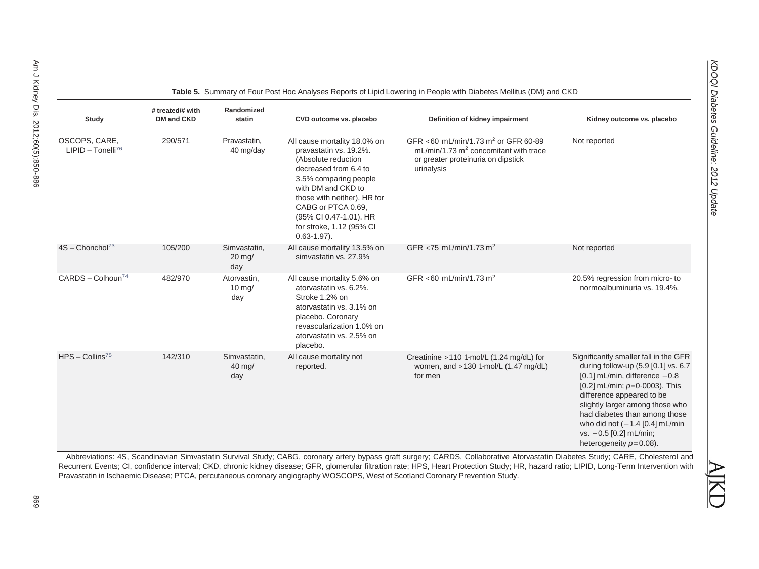| Study                                | # treated/# with<br>DM and CKD | Randomized<br>statin                   | CVD outcome vs. placebo                                                                                                                                                                                                                                                              | Definition of kidney impairment                                                                                                                | Kidney outcome vs. placebo                                                                                                                                                                                                                                                                                                                        |
|--------------------------------------|--------------------------------|----------------------------------------|--------------------------------------------------------------------------------------------------------------------------------------------------------------------------------------------------------------------------------------------------------------------------------------|------------------------------------------------------------------------------------------------------------------------------------------------|---------------------------------------------------------------------------------------------------------------------------------------------------------------------------------------------------------------------------------------------------------------------------------------------------------------------------------------------------|
| OSCOPS, CARE,<br>$LIPID - Tonelli76$ | 290/571                        | Pravastatin,<br>40 mg/day              | All cause mortality 18.0% on<br>pravastatin vs. 19.2%.<br>(Absolute reduction<br>decreased from 6.4 to<br>3.5% comparing people<br>with DM and CKD to<br>those with neither). HR for<br>CABG or PTCA 0.69,<br>(95% CI 0.47-1.01). HR<br>for stroke, 1.12 (95% CI<br>$0.63 - 1.97$ ). | GFR <60 mL/min/1.73 m <sup>2</sup> or GFR 60-89<br>$mL/min/1.73 m2 concomitant with trace$<br>or greater proteinuria on dipstick<br>urinalysis | Not reported                                                                                                                                                                                                                                                                                                                                      |
| $4S - Chonchol73$                    | 105/200                        | Simvastatin,<br>$20 \text{ mg}$<br>day | All cause mortality 13.5% on<br>simvastatin vs. 27.9%                                                                                                                                                                                                                                | GFR <75 mL/min/1.73 m <sup>2</sup>                                                                                                             | Not reported                                                                                                                                                                                                                                                                                                                                      |
| $CARDS - Colhoun74$                  | 482/970                        | Atorvastin,<br>$10 \text{ mg}$<br>day  | All cause mortality 5.6% on<br>atorvastatin vs. 6.2%.<br>Stroke 1.2% on<br>atorvastatin vs. 3.1% on<br>placebo. Coronary<br>revascularization 1.0% on<br>atorvastatin vs. 2.5% on<br>placebo.                                                                                        | GFR <60 mL/min/1.73 m <sup>2</sup>                                                                                                             | 20.5% regression from micro-to<br>normoalbuminuria vs. 19.4%.                                                                                                                                                                                                                                                                                     |
| $HPS - Collins75$                    | 142/310                        | Simvastatin,<br>$40$ mg/<br>day        | All cause mortality not<br>reported.                                                                                                                                                                                                                                                 | Creatinine >110 1-mol/L (1.24 mg/dL) for<br>women, and >130 1-mol/L (1.47 mg/dL)<br>for men                                                    | Significantly smaller fall in the GFR<br>during follow-up (5.9 [0.1] vs. 6.7<br>[0.1] mL/min, difference $-0.8$<br>[0.2] mL/min; $p=0.0003$ ). This<br>difference appeared to be<br>slightly larger among those who<br>had diabetes than among those<br>who did not $(-1.4 [0.4]$ mL/min<br>vs. $-0.5$ [0.2] mL/min;<br>heterogeneity $p=0.08$ ). |

**Table 5.** Summary of Four Post Hoc Analyses Reports of Lipid Lowering in People with Diabetes Mellitus (DM) and CKD

Abbreviations: 4S, Scandinavian Simvastatin Survival Study; CABG, coronary artery bypass graft surgery; CARDS, Collaborative Atorvastatin Diabetes Study; CARE, Cholesterol and Recurrent Events; CI, confidence interval; CKD, chronic kidney disease; GFR, glomerular filtration rate; HPS, Heart Protection Study; HR, hazard ratio; LIPID, Long-Term Intervention with Pravastatin in Ischaemic Disease; PTCA, percutaneous coronary angiography WOSCOPS, West of Scotland Coronary Prevention Study.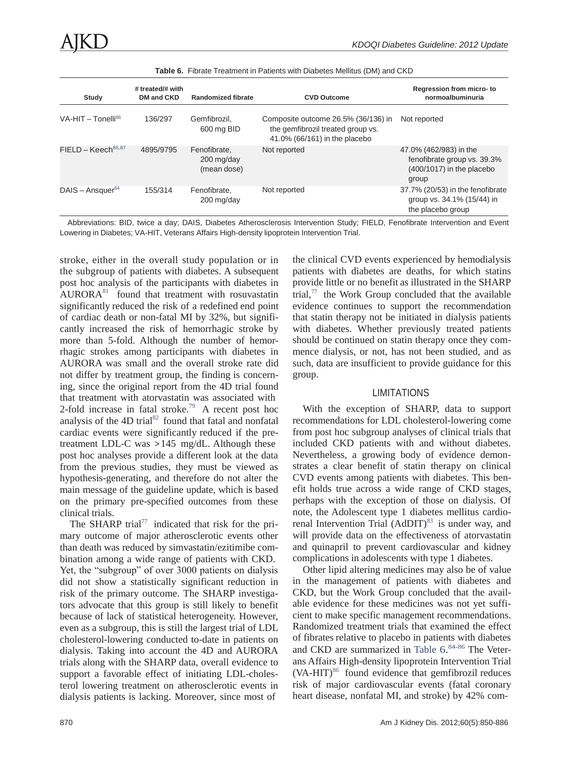| Study                | # treated/# with<br>DM and CKD | Randomized fibrate                        | <b>CVD Outcome</b>                                                                                        | Regression from micro-to<br>normoalbuminuria                                                  |
|----------------------|--------------------------------|-------------------------------------------|-----------------------------------------------------------------------------------------------------------|-----------------------------------------------------------------------------------------------|
| $VA-HIT - Tonelli86$ | 136/297                        | Gemfibrozil.<br>600 mg BID                | Composite outcome 26.5% (36/136) in<br>the gemfibrozil treated group vs.<br>41.0% (66/161) in the placebo | Not reported                                                                                  |
| $FIED - Keech85,87$  | 4895/9795                      | Fenofibrate.<br>200 mg/day<br>(mean dose) | Not reported                                                                                              | 47.0% (462/983) in the<br>fenofibrate group vs. 39.3%<br>$(400/1017)$ in the placebo<br>group |
| $DAIS - Ansquer84$   | 155/314                        | Fenofibrate.<br>200 mg/day                | Not reported                                                                                              | 37.7% (20/53) in the fenofibrate<br>group vs. 34.1% (15/44) in<br>the placebo group           |

|  |  |  |  |  |  | <b>Table 6.</b> Fibrate Treatment in Patients with Diabetes Mellitus (DM) and CKD |
|--|--|--|--|--|--|-----------------------------------------------------------------------------------|
|--|--|--|--|--|--|-----------------------------------------------------------------------------------|

Abbreviations: BID, twice a day; DAIS, Diabetes Atherosclerosis Intervention Study; FIELD, Fenofibrate Intervention and Event Lowering in Diabetes; VA-HIT, Veterans Affairs High-density lipoprotein Intervention Trial.

stroke, either in the overall study population or in the subgroup of patients with diabetes. A subsequent post hoc analysis of the participants with diabetes in  $AURORA<sup>81</sup>$  found that treatment with rosuvastatin significantly reduced the risk of a redefined end point of cardiac death or non-fatal MI by 32%, but significantly increased the risk of hemorrhagic stroke by more than 5-fold. Although the number of hemorrhagic strokes among participants with diabetes in AURORA was small and the overall stroke rate did not differ by treatment group, the finding is concerning, since the original report from the 4D trial found that treatment with atorvastatin was associated with 2-fold increase in fatal stroke.<sup>79</sup> A recent post hoc analysis of the 4D trial<sup>82</sup> found that fatal and nonfatal cardiac events were significantly reduced if the pretreatment LDL-C was >145 mg/dL. Although these post hoc analyses provide a different look at the data from the previous studies, they must be viewed as hypothesis-generating, and therefore do not alter the main message of the guideline update, which is based on the primary pre-specified outcomes from these clinical trials.

The SHARP trial<sup>77</sup> indicated that risk for the primary outcome of major atherosclerotic events other than death was reduced by simvastatin/ezitimibe combination among a wide range of patients with CKD. Yet, the "subgroup" of over 3000 patients on dialysis did not show a statistically significant reduction in risk of the primary outcome. The SHARP investigators advocate that this group is still likely to benefit because of lack of statistical heterogeneity. However, even as a subgroup, this is still the largest trial of LDL cholesterol-lowering conducted to-date in patients on dialysis. Taking into account the 4D and AURORA trials along with the SHARP data, overall evidence to support a favorable effect of initiating LDL-cholesterol lowering treatment on atherosclerotic events in dialysis patients is lacking. Moreover, since most of

the clinical CVD events experienced by hemodialysis patients with diabetes are deaths, for which statins provide little or no benefit as illustrated in the SHARP trial, $77$  the Work Group concluded that the available evidence continues to support the recommendation that statin therapy not be initiated in dialysis patients with diabetes. Whether previously treated patients should be continued on statin therapy once they commence dialysis, or not, has not been studied, and as such, data are insufficient to provide guidance for this group.

### LIMITATIONS

With the exception of SHARP, data to support recommendations for LDL cholesterol-lowering come from post hoc subgroup analyses of clinical trials that included CKD patients with and without diabetes. Nevertheless, a growing body of evidence demonstrates a clear benefit of statin therapy on clinical CVD events among patients with diabetes. This benefit holds true across a wide range of CKD stages, perhaps with the exception of those on dialysis. Of note, the Adolescent type 1 diabetes mellitus cardiorenal Intervention Trial  $(AdDIT)^{83}$  is under way, and will provide data on the effectiveness of atorvastatin and quinapril to prevent cardiovascular and kidney complications in adolescents with type 1 diabetes.

Other lipid altering medicines may also be of value in the management of patients with diabetes and CKD, but the Work Group concluded that the available evidence for these medicines was not yet sufficient to make specific management recommendations. Randomized treatment trials that examined the effect of fibrates relative to placebo in patients with diabetes and CKD are summarized in Table 6. 84-86 The Veterans Affairs High-density lipoprotein Intervention Trial  $(VA-HIT)^{86}$  found evidence that gemfibrozil reduces risk of major cardiovascular events (fatal coronary heart disease, nonfatal MI, and stroke) by 42% com-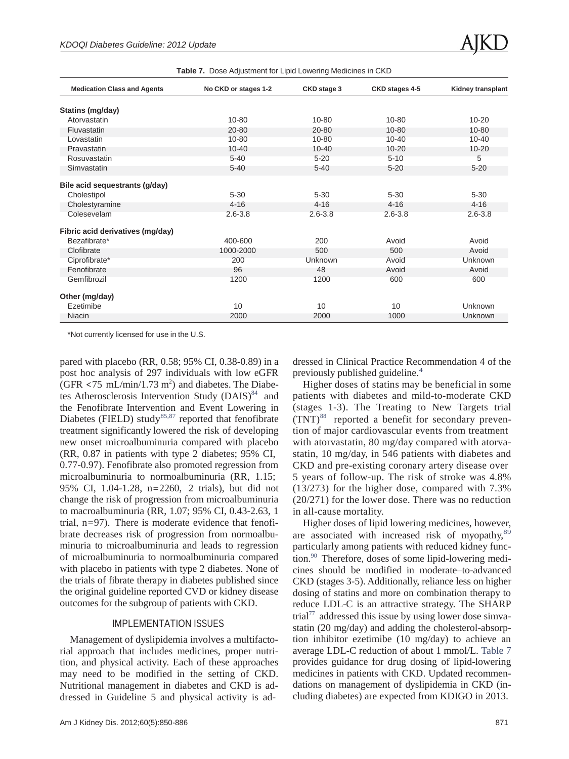|                                    | <b>TWICH BOOD Adjudition for Epid Editority modiumos in Orlo</b> |                |                |                          |
|------------------------------------|------------------------------------------------------------------|----------------|----------------|--------------------------|
| <b>Medication Class and Agents</b> | No CKD or stages 1-2                                             | CKD stage 3    | CKD stages 4-5 | <b>Kidney transplant</b> |
| Statins (mg/day)                   |                                                                  |                |                |                          |
| Atorvastatin                       | $10 - 80$                                                        | $10 - 80$      | $10 - 80$      | $10 - 20$                |
| Fluvastatin                        | $20 - 80$                                                        | 20-80          | $10 - 80$      | 10-80                    |
| Lovastatin                         | 10-80                                                            | 10-80          | $10 - 40$      | $10 - 40$                |
| Pravastatin                        | $10 - 40$                                                        | $10 - 40$      | $10 - 20$      | $10 - 20$                |
| Rosuvastatin                       | $5 - 40$                                                         | $5 - 20$       | $5 - 10$       | 5                        |
| Simvastatin                        | $5 - 40$                                                         | $5 - 40$       | $5 - 20$       | $5 - 20$                 |
| Bile acid sequestrants (g/day)     |                                                                  |                |                |                          |
| Cholestipol                        | $5 - 30$                                                         | $5 - 30$       | $5 - 30$       | $5 - 30$                 |
| Cholestyramine                     | $4 - 16$                                                         | $4 - 16$       | $4 - 16$       | $4 - 16$                 |
| Colesevelam                        | $2.6 - 3.8$                                                      | $2.6 - 3.8$    | $2.6 - 3.8$    | $2.6 - 3.8$              |
| Fibric acid derivatives (mg/day)   |                                                                  |                |                |                          |
| Bezafibrate*                       | 400-600                                                          | 200            | Avoid          | Avoid                    |
| Clofibrate                         | 1000-2000                                                        | 500            | 500            | Avoid                    |
| Ciprofibrate*                      | 200                                                              | <b>Unknown</b> | Avoid          | <b>Unknown</b>           |
| Fenofibrate                        | 96                                                               | 48             | Avoid          | Avoid                    |
| Gemfibrozil                        | 1200                                                             | 1200           | 600            | 600                      |
| Other (mg/day)                     |                                                                  |                |                |                          |
| Ezetimibe                          | 10                                                               | 10             | 10             | <b>Unknown</b>           |
| Niacin                             | 2000                                                             | 2000           | 1000           | Unknown                  |

**Table 7.** Dose Adjustment for Lipid Lowering Medicines in CKD

\*Not currently licensed for use in the U.S.

pared with placebo (RR, 0.58; 95% CI, 0.38-0.89) in a post hoc analysis of 297 individuals with low eGFR  $(GFR < 75 \text{ mL/min}/1.73 \text{ m}^2)$  and diabetes. The Diabetes Atherosclerosis Intervention Study  $(DAIS)^{84}$  and the Fenofibrate Intervention and Event Lowering in Diabetes (FIELD) study<sup>85,87</sup> reported that fenofibrate treatment significantly lowered the risk of developing new onset microalbuminuria compared with placebo (RR, 0.87 in patients with type 2 diabetes; 95% CI, 0.77-0.97). Fenofibrate also promoted regression from microalbuminuria to normoalbuminuria (RR, 1.15; 95% CI, 1.04-1.28, n=2260, 2 trials), but did not change the risk of progression from microalbuminuria to macroalbuminuria (RR, 1.07; 95% CI, 0.43-2.63, 1 trial, n=97). There is moderate evidence that fenofibrate decreases risk of progression from normoalbuminuria to microalbuminuria and leads to regression of microalbuminuria to normoalbuminuria compared with placebo in patients with type 2 diabetes. None of the trials of fibrate therapy in diabetes published since the original guideline reported CVD or kidney disease outcomes for the subgroup of patients with CKD.

### IMPLEMENTATION ISSUES

Management of dyslipidemia involves a multifactorial approach that includes medicines, proper nutrition, and physical activity. Each of these approaches may need to be modified in the setting of CKD. Nutritional management in diabetes and CKD is addressed in Guideline 5 and physical activity is addressed in Clinical Practice Recommendation 4 of the previously published guideline.<sup>4</sup>

Higher doses of statins may be beneficial in some patients with diabetes and mild-to-moderate CKD (stages 1-3). The Treating to New Targets trial  $(TNT)^{88}$  reported a benefit for secondary prevention of major cardiovascular events from treatment with atorvastatin, 80 mg/day compared with atorvastatin, 10 mg/day, in 546 patients with diabetes and CKD and pre-existing coronary artery disease over 5 years of follow-up. The risk of stroke was 4.8% (13/273) for the higher dose, compared with 7.3% (20/271) for the lower dose. There was no reduction in all-cause mortality.

Higher doses of lipid lowering medicines, however, are associated with increased risk of myopathy,<sup>89</sup> particularly among patients with reduced kidney func- $\mu^{90}$  Therefore, doses of some lipid-lowering medicines should be modified in moderate–to-advanced CKD (stages 3-5). Additionally, reliance less on higher dosing of statins and more on combination therapy to reduce LDL-C is an attractive strategy. The SHARP trial<sup>77</sup> addressed this issue by using lower dose simvastatin (20 mg/day) and adding the cholesterol-absorption inhibitor ezetimibe (10 mg/day) to achieve an average LDL-C reduction of about 1 mmol/L. Table 7 provides guidance for drug dosing of lipid-lowering medicines in patients with CKD. Updated recommendations on management of dyslipidemia in CKD (including diabetes) are expected from KDIGO in 2013.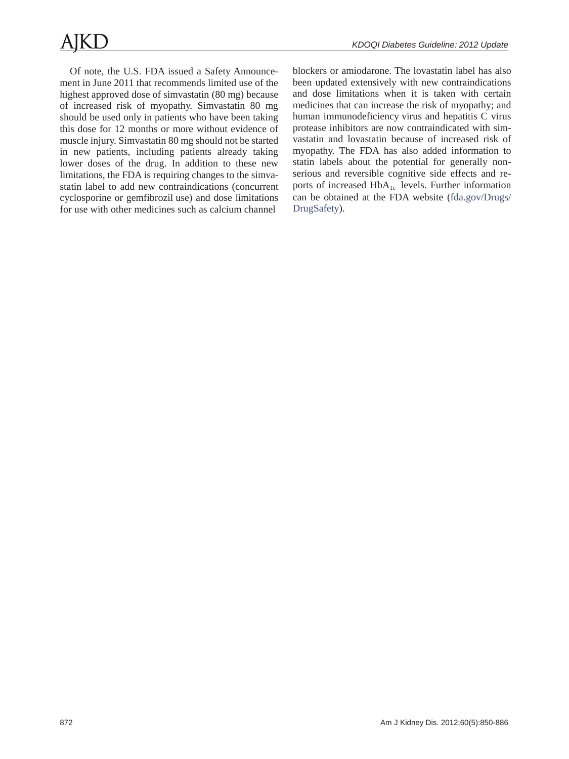Of note, the U.S. FDA issued a Safety Announcement in June 2011 that recommends limited use of the highest approved dose of simvastatin (80 mg) because of increased risk of myopathy. Simvastatin 80 mg should be used only in patients who have been taking this dose for 12 months or more without evidence of muscle injury. Simvastatin 80 mg should not be started in new patients, including patients already taking lower doses of the drug. In addition to these new limitations, the FDA is requiring changes to the simvastatin label to add new contraindications (concurrent cyclosporine or gemfibrozil use) and dose limitations for use with other medicines such as calcium channel

blockers or amiodarone. The lovastatin label has also been updated extensively with new contraindications and dose limitations when it is taken with certain medicines that can increase the risk of myopathy; and human immunodeficiency virus and hepatitis C virus protease inhibitors are now contraindicated with simvastatin and lovastatin because of increased risk of myopathy. The FDA has also added information to statin labels about the potential for generally nonserious and reversible cognitive side effects and reports of increased  $HbA_{1c}$  levels. Further information can be obtained at the FDA website [\(fda.gov/Drugs/](http://fda.gov/Drugs/DrugSafety) [DrugSafety\)](http://fda.gov/Drugs/DrugSafety).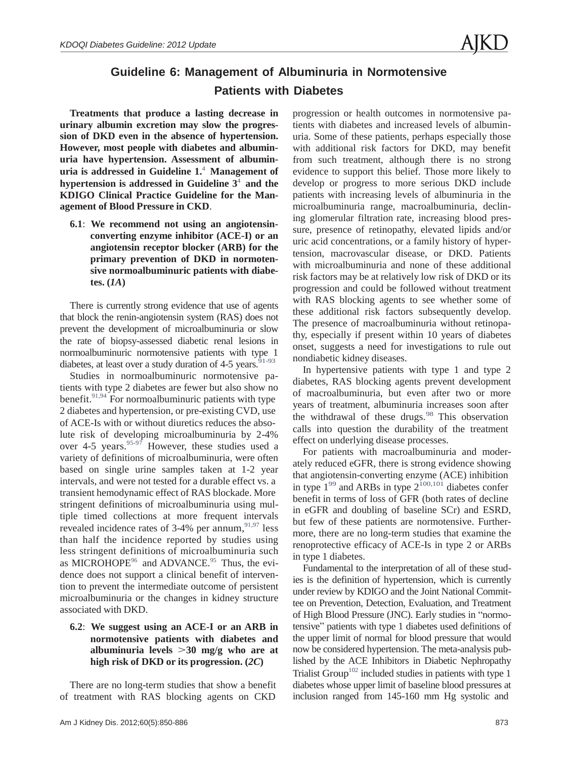### **Guideline 6: Management of Albuminuria in Normotensive Patients with Diabetes**

**Treatments that produce a lasting decrease in urinary albumin excretion may slow the progression of DKD even in the absence of hypertension. However, most people with diabetes and albuminuria have hypertension. Assessment of albuminuria is addressed in Guideline 1.**<sup>4</sup>**Management of hypertension is addressed in Guideline**  $3<sup>4</sup>$  **and the KDIGO Clinical Practice Guideline for the Management of Blood Pressure in CKD**.

**6.1**: **We recommend not using an angiotensinconverting enzyme inhibitor (ACE-I) or an angiotensin receptor blocker (ARB) for the primary prevention of DKD in normotensive normoalbuminuric patients with diabetes. (***1A***)**

There is currently strong evidence that use of agents that block the renin-angiotensin system (RAS) does not prevent the development of microalbuminuria or slow the rate of biopsy-assessed diabetic renal lesions in normoalbuminuric normotensive patients with type 1 diabetes, at least over a study duration of 4-5 years.  $91-93$ 

Studies in normoalbuminuric normotensive patients with type 2 diabetes are fewer but also show no benefit.  $91,94$  For normoalbuminuric patients with type 2 diabetes and hypertension, or pre-existing CVD, use of ACE-Is with or without diuretics reduces the absolute risk of developing microalbuminuria by 2-4% over 4-5 years.  $95-97$  However, these studies used a variety of definitions of microalbuminuria, were often based on single urine samples taken at 1-2 year intervals, and were not tested for a durable effect vs. a transient hemodynamic effect of RAS blockade. More stringent definitions of microalbuminuria using multiple timed collections at more frequent intervals revealed incidence rates of  $3-4%$  per annum,  $91,97$  less than half the incidence reported by studies using less stringent definitions of microalbuminuria such as MICROHOPE $96$  and ADVANCE.<sup>95</sup> Thus, the evidence does not support a clinical benefit of intervention to prevent the intermediate outcome of persistent microalbuminuria or the changes in kidney structure associated with DKD.

### **6.2**: **We suggest using an ACE-I or an ARB in normotensive patients with diabetes and albuminuria levels** >**30 mg/g who are at high risk of DKD or its progression. (***2C***)**

There are no long-term studies that show a benefit of treatment with RAS blocking agents on CKD

progression or health outcomes in normotensive patients with diabetes and increased levels of albuminuria. Some of these patients, perhaps especially those with additional risk factors for DKD, may benefit from such treatment, although there is no strong evidence to support this belief. Those more likely to develop or progress to more serious DKD include patients with increasing levels of albuminuria in the microalbuminuria range, macroalbuminuria, declining glomerular filtration rate, increasing blood pressure, presence of retinopathy, elevated lipids and/or uric acid concentrations, or a family history of hypertension, macrovascular disease, or DKD. Patients with microalbuminuria and none of these additional risk factors may be at relatively low risk of DKD or its progression and could be followed without treatment with RAS blocking agents to see whether some of these additional risk factors subsequently develop. The presence of macroalbuminuria without retinopathy, especially if present within 10 years of diabetes onset, suggests a need for investigations to rule out nondiabetic kidney diseases.

In hypertensive patients with type 1 and type 2 diabetes, RAS blocking agents prevent development of macroalbuminuria, but even after two or more years of treatment, albuminuria increases soon after the withdrawal of these drugs.<sup>98</sup> This observation calls into question the durability of the treatment effect on underlying disease processes.

For patients with macroalbuminuria and moderately reduced eGFR, there is strong evidence showing that angiotensin-converting enzyme (ACE) inhibition  $99$  and ARBs in type  $2^{100,101}$  diabetes confer benefit in terms of loss of GFR (both rates of decline in eGFR and doubling of baseline SCr) and ESRD, but few of these patients are normotensive. Furthermore, there are no long-term studies that examine the renoprotective efficacy of ACE-Is in type 2 or ARBs in type 1 diabetes.

Fundamental to the interpretation of all of these studies is the definition of hypertension, which is currently under review by KDIGO and the Joint National Committee on Prevention, Detection, Evaluation, and Treatment of High Blood Pressure (JNC). Early studies in "normotensive" patients with type 1 diabetes used definitions of the upper limit of normal for blood pressure that would now be considered hypertension. The meta-analysis published by the ACE Inhibitors in Diabetic Nephropathy Trialist Group<sup>102</sup> included studies in patients with type  $1$ diabetes whose upper limit of baseline blood pressures at inclusion ranged from 145-160 mm Hg systolic and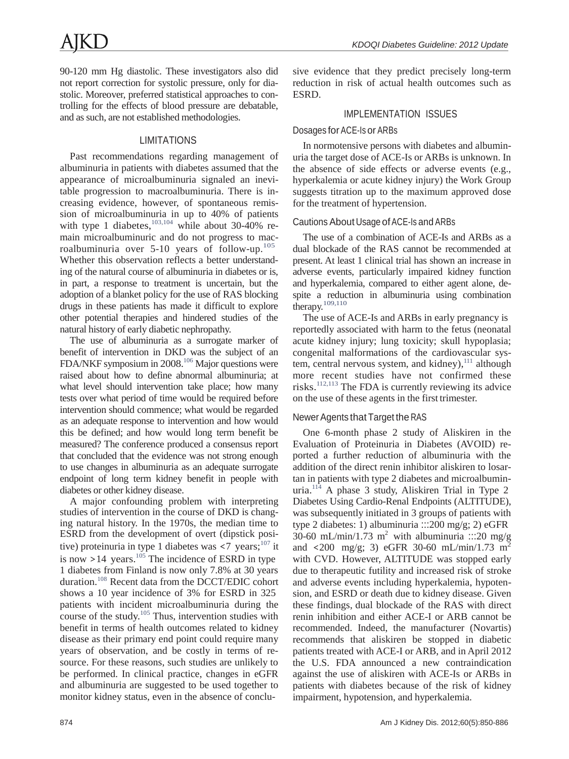90-120 mm Hg diastolic. These investigators also did not report correction for systolic pressure, only for diastolic. Moreover, preferred statistical approaches to controlling for the effects of blood pressure are debatable, and assuch, are not established methodologies.

### LIMITATIONS

Past recommendations regarding management of albuminuria in patients with diabetes assumed that the appearance of microalbuminuria signaled an inevitable progression to macroalbuminuria. There is increasing evidence, however, of spontaneous remission of microalbuminuria in up to 40% of patients with type 1 diabetes,  $103,104$  while about 30-40% remain microalbuminuric and do not progress to macroalbuminuria over 5-10 years of follow-up.<sup>105</sup> Whether this observation reflects a better understanding of the natural course of albuminuria in diabetes or is, in part, a response to treatment is uncertain, but the adoption of a blanket policy for the use of RAS blocking drugs in these patients has made it difficult to explore other potential therapies and hindered studies of the natural history of early diabetic nephropathy.

The use of albuminuria as a surrogate marker of benefit of intervention in DKD was the subject of an FDA/NKF symposium in 2008.<sup>106</sup> Major questions were raised about how to define abnormal albuminuria; at what level should intervention take place; how many tests over what period of time would be required before intervention should commence; what would be regarded as an adequate response to intervention and how would this be defined; and how would long term benefit be measured? The conference produced a consensus report that concluded that the evidence was not strong enough to use changes in albuminuria as an adequate surrogate endpoint of long term kidney benefit in people with diabetes or other kidney disease.

A major confounding problem with interpreting studies of intervention in the course of DKD is changing natural history. In the 1970s, the median time to ESRD from the development of overt (dipstick positive) proteinuria in type 1 diabetes was  $\leq 7$  years;<sup>107</sup> it is now  $>14$  years.<sup>105</sup> The incidence of ESRD in type 1 diabetes from Finland is now only 7.8% at 30 years duration.<sup>108</sup> Recent data from the DCCT/EDIC cohort shows a 10 year incidence of 3% for ESRD in 325 patients with incident microalbuminuria during the course of the study. <sup>105</sup> Thus, intervention studies with benefit in terms of health outcomes related to kidney disease as their primary end point could require many years of observation, and be costly in terms of resource. For these reasons, such studies are unlikely to be performed. In clinical practice, changes in eGFR and albuminuria are suggested to be used together to monitor kidney status, even in the absence of conclusive evidence that they predict precisely long-term reduction in risk of actual health outcomes such as ESRD.

### IMPLEMENTATION ISSUES

### Dosages for ACE-Is or ARBs

In normotensive persons with diabetes and albuminuria the target dose of ACE-Is or ARBs is unknown. In the absence of side effects or adverse events (e.g., hyperkalemia or acute kidney injury) the Work Group suggests titration up to the maximum approved dose for the treatment of hypertension.

### Cautions About Usage of ACE-Is and ARBs

The use of a combination of ACE-Is and ARBs as a dual blockade of the RAS cannot be recommended at present. At least 1 clinical trial has shown an increase in adverse events, particularly impaired kidney function and hyperkalemia, compared to either agent alone, despite a reduction in albuminuria using combination therapy. $109,110$ 

The use of ACE-Is and ARBs in early pregnancy is reportedly associated with harm to the fetus (neonatal acute kidney injury; lung toxicity; skull hypoplasia; congenital malformations of the cardiovascular system, central nervous system, and kidney), $^{111}$  although more recent studies have not confirmed these risks.112,113 The FDA is currently reviewing its advice on the use of these agents in the first trimester.

### Newer Agents that Target the RAS

One 6-month phase 2 study of Aliskiren in the Evaluation of Proteinuria in Diabetes (AVOID) reported a further reduction of albuminuria with the addition of the direct renin inhibitor aliskiren to losartan in patients with type 2 diabetes and microalbuminuria.<sup>114</sup> A phase 3 study, Aliskiren Trial in Type 2 Diabetes Using Cardio-Renal Endpoints (ALTITUDE), was subsequently initiated in 3 groups of patients with type 2 diabetes: 1) albuminuria :::200 mg/g; 2) eGFR 30-60 mL/min/1.73 m<sup>2</sup> with albuminuria :::20 mg/g and <200 mg/g; 3) eGFR 30-60 mL/min/1.73 m<sup>2</sup> with CVD. However, ALTITUDE was stopped early due to therapeutic futility and increased risk of stroke and adverse events including hyperkalemia, hypotension, and ESRD or death due to kidney disease. Given these findings, dual blockade of the RAS with direct renin inhibition and either ACE-I or ARB cannot be recommended. Indeed, the manufacturer (Novartis) recommends that aliskiren be stopped in diabetic patients treated with ACE-I or ARB, and in April 2012 the U.S. FDA announced a new contraindication against the use of aliskiren with ACE-Is or ARBs in patients with diabetes because of the risk of kidney impairment, hypotension, and hyperkalemia.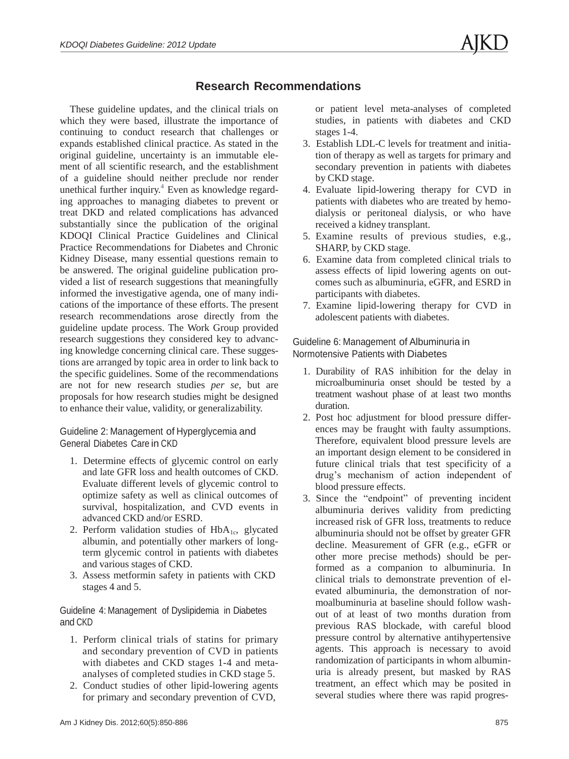### **Research Recommendations**

These guideline updates, and the clinical trials on which they were based, illustrate the importance of continuing to conduct research that challenges or expands established clinical practice. As stated in the original guideline, uncertainty is an immutable element of all scientific research, and the establishment of a guideline should neither preclude nor render unethical further inquiry. <sup>4</sup> Even as knowledge regarding approaches to managing diabetes to prevent or treat DKD and related complications has advanced substantially since the publication of the original KDOQI Clinical Practice Guidelines and Clinical Practice Recommendations for Diabetes and Chronic Kidney Disease, many essential questions remain to be answered. The original guideline publication provided a list of research suggestions that meaningfully informed the investigative agenda, one of many indications of the importance of these efforts. The present research recommendations arose directly from the guideline update process. The Work Group provided research suggestions they considered key to advancing knowledge concerning clinical care. These suggestions are arranged by topic area in order to link back to the specific guidelines. Some of the recommendations are not for new research studies *per se*, but are proposals for how research studies might be designed to enhance their value, validity, or generalizability.

### Guideline 2: Management of Hyperglycemia and General Diabetes Care in CKD

- 1. Determine effects of glycemic control on early and late GFR loss and health outcomes of CKD. Evaluate different levels of glycemic control to optimize safety as well as clinical outcomes of survival, hospitalization, and CVD events in advanced CKD and/or ESRD.
- 2. Perform validation studies of  $HbA_{1c}$ , glycated albumin, and potentially other markers of longterm glycemic control in patients with diabetes and various stages of CKD.
- 3. Assess metformin safety in patients with CKD stages 4 and 5.

### Guideline 4: Management of Dyslipidemia in Diabetes and CKD

- 1. Perform clinical trials of statins for primary and secondary prevention of CVD in patients with diabetes and CKD stages 1-4 and metaanalyses of completed studies in CKD stage 5.
- 2. Conduct studies of other lipid-lowering agents for primary and secondary prevention of CVD,

or patient level meta-analyses of completed studies, in patients with diabetes and CKD stages 1-4.

- 3. Establish LDL-C levels for treatment and initiation of therapy as well as targets for primary and secondary prevention in patients with diabetes by CKD stage.
- 4. Evaluate lipid-lowering therapy for CVD in patients with diabetes who are treated by hemodialysis or peritoneal dialysis, or who have received a kidney transplant.
- 5. Examine results of previous studies, e.g., SHARP, by CKD stage.
- 6. Examine data from completed clinical trials to assess effects of lipid lowering agents on outcomes such as albuminuria, eGFR, and ESRD in participants with diabetes.
- 7. Examine lipid-lowering therapy for CVD in adolescent patients with diabetes.

### Guideline 6: Management of Albuminuria in Normotensive Patients with Diabetes

- 1. Durability of RAS inhibition for the delay in microalbuminuria onset should be tested by a treatment washout phase of at least two months duration.
- 2. Post hoc adjustment for blood pressure differences may be fraught with faulty assumptions. Therefore, equivalent blood pressure levels are an important design element to be considered in future clinical trials that test specificity of a drug's mechanism of action independent of blood pressure effects.
- 3. Since the "endpoint" of preventing incident albuminuria derives validity from predicting increased risk of GFR loss, treatments to reduce albuminuria should not be offset by greater GFR decline. Measurement of GFR (e.g., eGFR or other more precise methods) should be performed as a companion to albuminuria. In clinical trials to demonstrate prevention of elevated albuminuria, the demonstration of normoalbuminuria at baseline should follow washout of at least of two months duration from previous RAS blockade, with careful blood pressure control by alternative antihypertensive agents. This approach is necessary to avoid randomization of participants in whom albuminuria is already present, but masked by RAS treatment, an effect which may be posited in several studies where there was rapid progres-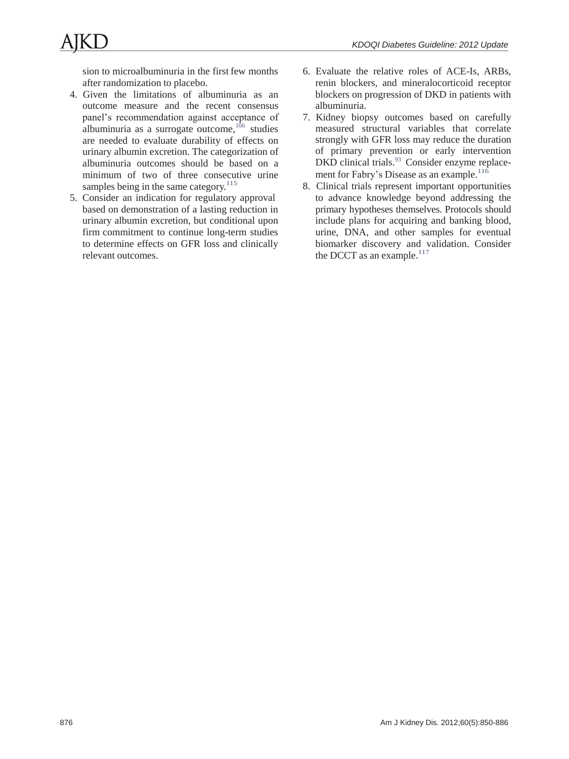sion to microalbuminuria in the first few months after randomization to placebo.

- 4. Given the limitations of albuminuria as an outcome measure and the recent consensus panel's recommendation against acceptance of albuminuria as a surrogate outcome,<sup>106</sup> studies are needed to evaluate durability of effects on urinary albumin excretion. The categorization of albuminuria outcomes should be based on a minimum of two of three consecutive urine samples being in the same category.<sup>115</sup>
- 5. Consider an indication for regulatory approval based on demonstration of a lasting reduction in urinary albumin excretion, but conditional upon firm commitment to continue long-term studies to determine effects on GFR loss and clinically relevant outcomes.
- 6. Evaluate the relative roles of ACE-Is, ARBs, renin blockers, and mineralocorticoid receptor blockers on progression of DKD in patients with albuminuria.
- 7. Kidney biopsy outcomes based on carefully measured structural variables that correlate strongly with GFR loss may reduce the duration of primary prevention or early intervention DKD clinical trials.<sup>93</sup> Consider enzyme replacement for Fabry's Disease as an example.<sup>116</sup>
- 8. Clinical trials represent important opportunities to advance knowledge beyond addressing the primary hypotheses themselves. Protocols should include plans for acquiring and banking blood, urine, DNA, and other samples for eventual biomarker discovery and validation. Consider the DCCT as an example. $117$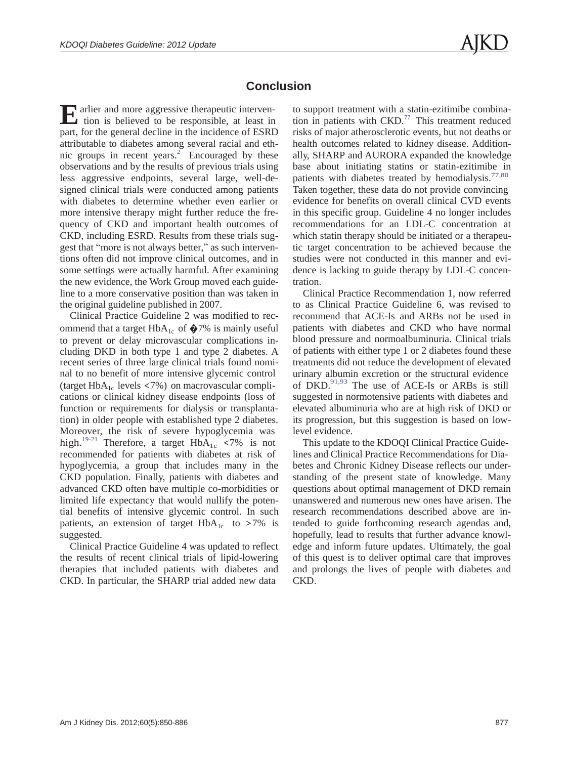### **Conclusion**

E arlier and more aggressive therapeutic interven-<br>tion is believed to be responsible, at least in I tion is believed to be responsible, at least in part, for the general decline in the incidence of ESRD attributable to diabetes among several racial and ethnic groups in recent years. $^{2}$  Encouraged by these observations and by the results of previous trials using less aggressive endpoints, several large, well-designed clinical trials were conducted among patients with diabetes to determine whether even earlier or more intensive therapy might further reduce the frequency of CKD and important health outcomes of CKD, including ESRD. Results from these trials suggest that "more is not always better," as such interventions often did not improve clinical outcomes, and in some settings were actually harmful. After examining the new evidence, the Work Group moved each guideline to a more conservative position than was taken in the original guideline published in 2007.

high.<sup>19-21</sup> Therefore, a target  $HbA_{1c}$  <7% is not This update to the KDOQI Clinical Practice Guide-Clinical Practice Guideline 2 was modified to recommend that a target  $HbA_{1c}$  of  $\bigcirc$  7% is mainly useful to prevent or delay microvascular complications including DKD in both type 1 and type 2 diabetes. A recent series of three large clinical trials found nominal to no benefit of more intensive glycemic control (target HbA<sub>1c</sub> levels <7%) on macrovascular compli- of DKD.<sup>91,93</sup> The use of ACE-Is or ARBs is still cations or clinical kidney disease endpoints (loss of function or requirements for dialysis or transplantation) in older people with established type 2 diabetes. Moreover, the risk of severe hypoglycemia was recommended for patients with diabetes at risk of hypoglycemia, a group that includes many in the CKD population. Finally, patients with diabetes and advanced CKD often have multiple co-morbidities or limited life expectancy that would nullify the potential benefits of intensive glycemic control. In such patients, an extension of target  $HbA_{1c}$  to >7% is suggested.

Clinical Practice Guideline 4 was updated to reflect the results of recent clinical trials of lipid-lowering therapies that included patients with diabetes and CKD. In particular, the SHARP trial added new data

to support treatment with a statin-ezitimibe combination in patients with  $CKD$ .<sup>77</sup> This treatment reduced risks of major atherosclerotic events, but not deaths or health outcomes related to kidney disease. Additionally, SHARP and AURORA expanded the knowledge base about initiating statins or statin-ezitimibe in patients with diabetes treated by hemodialysis.<sup>77,80</sup> Taken together, these data do not provide convincing evidence for benefits on overall clinical CVD events in this specific group. Guideline 4 no longer includes recommendations for an LDL-C concentration at which statin therapy should be initiated or a therapeutic target concentration to be achieved because the studies were not conducted in this manner and evidence is lacking to guide therapy by LDL-C concentration.

Clinical Practice Recommendation 1, now referred to as Clinical Practice Guideline 6, was revised to recommend that ACE-Is and ARBs not be used in patients with diabetes and CKD who have normal blood pressure and normoalbuminuria. Clinical trials of patients with either type 1 or 2 diabetes found these treatments did not reduce the development of elevated urinary albumin excretion or the structural evidence suggested in normotensive patients with diabetes and elevated albuminuria who are at high risk of DKD or its progression, but this suggestion is based on lowlevel evidence.

lines and Clinical Practice Recommendations for Diabetes and Chronic Kidney Disease reflects our understanding of the present state of knowledge. Many questions about optimal management of DKD remain unanswered and numerous new ones have arisen. The research recommendations described above are intended to guide forthcoming research agendas and, hopefully, lead to results that further advance knowledge and inform future updates. Ultimately, the goal of this quest is to deliver optimal care that improves and prolongs the lives of people with diabetes and CKD.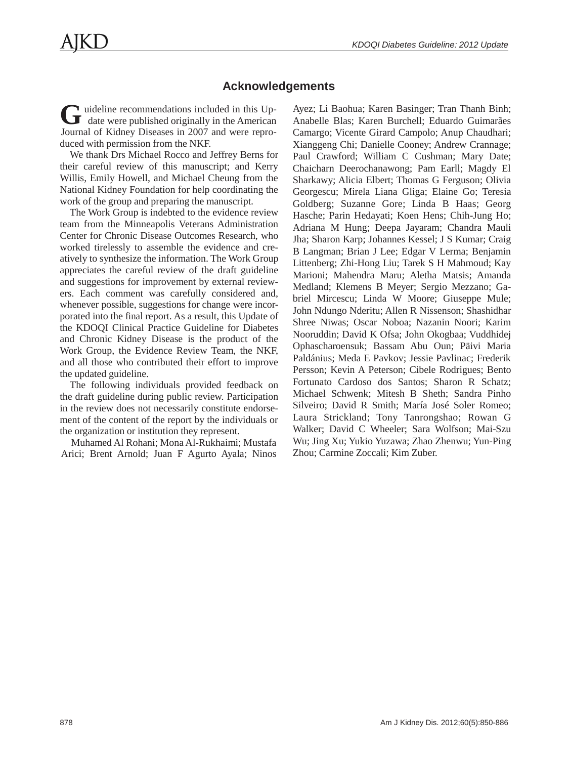### **Acknowledgements**

Guideline recommendations included in this Update were published originally in the American uideline recommendations included in this Up-Journal of Kidney Diseases in 2007 and were reproduced with permission from the NKF.

We thank Drs Michael Rocco and Jeffrey Berns for their careful review of this manuscript; and Kerry Willis, Emily Howell, and Michael Cheung from the National Kidney Foundation for help coordinating the work of the group and preparing the manuscript.

The Work Group is indebted to the evidence review team from the Minneapolis Veterans Administration Center for Chronic Disease Outcomes Research, who worked tirelessly to assemble the evidence and creatively to synthesize the information. The Work Group appreciates the careful review of the draft guideline and suggestions for improvement by external reviewers. Each comment was carefully considered and, whenever possible, suggestions for change were incorporated into the final report. As a result, this Update of the KDOQI Clinical Practice Guideline for Diabetes and Chronic Kidney Disease is the product of the Work Group, the Evidence Review Team, the NKF, and all those who contributed their effort to improve the updated guideline.

The following individuals provided feedback on the draft guideline during public review. Participation in the review does not necessarily constitute endorsement of the content of the report by the individuals or the organization or institution they represent.

Muhamed Al Rohani; Mona Al-Rukhaimi; Mustafa Arici; Brent Arnold; Juan F Agurto Ayala; Ninos

Ayez; Li Baohua; Karen Basinger; Tran Thanh Binh; Anabelle Blas; Karen Burchell; Eduardo Guimarães Camargo; Vicente Girard Campolo; Anup Chaudhari; Xianggeng Chi; Danielle Cooney; Andrew Crannage; Paul Crawford; William C Cushman; Mary Date; Chaicharn Deerochanawong; Pam Earll; Magdy El Sharkawy; Alicia Elbert; Thomas G Ferguson; Olivia Georgescu; Mirela Liana Gliga; Elaine Go; Teresia Goldberg; Suzanne Gore; Linda B Haas; Georg Hasche; Parin Hedayati; Koen Hens; Chih-Jung Ho; Adriana M Hung; Deepa Jayaram; Chandra Mauli Jha; Sharon Karp; Johannes Kessel; J S Kumar; Craig B Langman; Brian J Lee; Edgar V Lerma; Benjamin Littenberg; Zhi-Hong Liu; Tarek S H Mahmoud; Kay Marioni; Mahendra Maru; Aletha Matsis; Amanda Medland; Klemens B Meyer; Sergio Mezzano; Gabriel Mircescu; Linda W Moore; Giuseppe Mule; John Ndungo Nderitu; Allen R Nissenson; Shashidhar Shree Niwas; Oscar Noboa; Nazanin Noori; Karim Nooruddin; David K Ofsa; John Okogbaa; Vuddhidej Ophascharoensuk; Bassam Abu Oun; Päivi Maria Paldánius; Meda E Pavkov; Jessie Pavlinac; Frederik Persson; Kevin A Peterson; Cibele Rodrigues; Bento Fortunato Cardoso dos Santos; Sharon R Schatz; Michael Schwenk; Mitesh B Sheth; Sandra Pinho Silveiro; David R Smith; María José Soler Romeo; Laura Strickland; Tony Tanrongshao; Rowan G Walker; David C Wheeler; Sara Wolfson; Mai-Szu Wu; Jing Xu; Yukio Yuzawa; Zhao Zhenwu; Yun-Ping Zhou; Carmine Zoccali; Kim Zuber.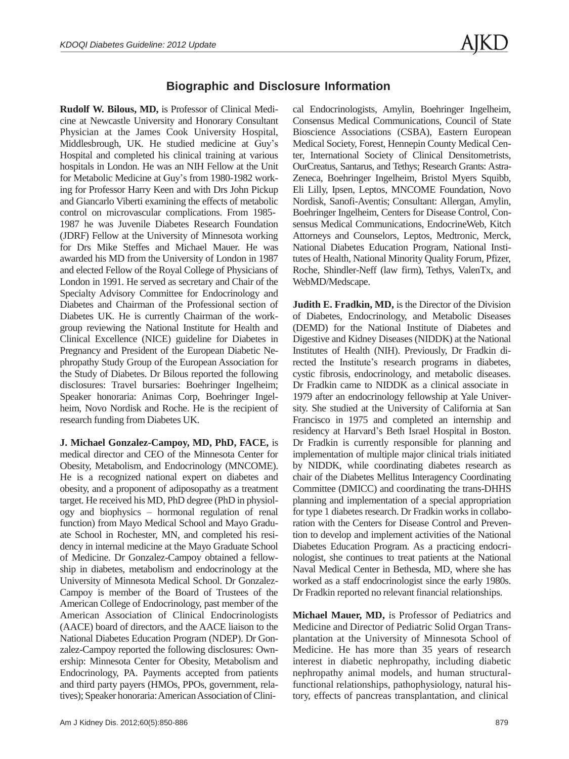### **Biographic and Disclosure Information**

**Rudolf W. Bilous, MD,** is Professor of Clinical Medicine at Newcastle University and Honorary Consultant Physician at the James Cook University Hospital, Middlesbrough, UK. He studied medicine at Guy's Hospital and completed his clinical training at various hospitals in London. He was an NIH Fellow at the Unit for Metabolic Medicine at Guy's from 1980-1982 working for Professor Harry Keen and with Drs John Pickup and Giancarlo Viberti examining the effects of metabolic control on microvascular complications. From 1985- 1987 he was Juvenile Diabetes Research Foundation (JDRF) Fellow at the University of Minnesota working for Drs Mike Steffes and Michael Mauer. He was awarded his MD from the University of London in 1987 and elected Fellow of the Royal College of Physicians of London in 1991. He served as secretary and Chair of the Specialty Advisory Committee for Endocrinology and Diabetes and Chairman of the Professional section of Diabetes UK. He is currently Chairman of the workgroup reviewing the National Institute for Health and Clinical Excellence (NICE) guideline for Diabetes in Pregnancy and President of the European Diabetic Nephropathy Study Group of the European Association for the Study of Diabetes. Dr Bilous reported the following disclosures: Travel bursaries: Boehringer Ingelheim; Speaker honoraria: Animas Corp, Boehringer Ingelheim, Novo Nordisk and Roche. He is the recipient of research funding from Diabetes UK.

**J. Michael Gonzalez-Campoy, MD, PhD, FACE,** is medical director and CEO of the Minnesota Center for Obesity, Metabolism, and Endocrinology (MNCOME). He is a recognized national expert on diabetes and obesity, and a proponent of adiposopathy as a treatment target. He received his MD, PhD degree (PhD in physiology and biophysics – hormonal regulation of renal function) from Mayo Medical School and Mayo Graduate School in Rochester, MN, and completed his residency in internal medicine at the Mayo Graduate School of Medicine. Dr Gonzalez-Campoy obtained a fellowship in diabetes, metabolism and endocrinology at the University of Minnesota Medical School. Dr Gonzalez-Campoy is member of the Board of Trustees of the American College of Endocrinology, past member of the American Association of Clinical Endocrinologists (AACE) board of directors, and the AACE liaison to the National Diabetes Education Program (NDEP). Dr Gonzalez-Campoy reported the following disclosures: Ownership: Minnesota Center for Obesity, Metabolism and Endocrinology, PA. Payments accepted from patients and third party payers (HMOs, PPOs, government, relatives); Speaker honoraria: American Association of Clinical Endocrinologists, Amylin, Boehringer Ingelheim, Consensus Medical Communications, Council of State Bioscience Associations (CSBA), Eastern European Medical Society, Forest, Hennepin County Medical Center, International Society of Clinical Densitometrists, OurCreatus, Santarus, and Tethys; Research Grants: Astra-Zeneca, Boehringer Ingelheim, Bristol Myers Squibb, Eli Lilly, Ipsen, Leptos, MNCOME Foundation, Novo Nordisk, Sanofi-Aventis; Consultant: Allergan, Amylin, Boehringer Ingelheim, Centers for Disease Control, Consensus Medical Communications, EndocrineWeb, Kitch Attorneys and Counselors, Leptos, Medtronic, Merck, National Diabetes Education Program, National Institutes of Health, National Minority Quality Forum, Pfizer, Roche, Shindler-Neff (law firm), Tethys, ValenTx, and WebMD/Medscape.

**Judith E. Fradkin, MD,** is the Director of the Division of Diabetes, Endocrinology, and Metabolic Diseases (DEMD) for the National Institute of Diabetes and Digestive and Kidney Diseases (NIDDK) at the National Institutes of Health (NIH). Previously, Dr Fradkin directed the Institute's research programs in diabetes, cystic fibrosis, endocrinology, and metabolic diseases. Dr Fradkin came to NIDDK as a clinical associate in 1979 after an endocrinology fellowship at Yale University. She studied at the University of California at San Francisco in 1975 and completed an internship and residency at Harvard's Beth Israel Hospital in Boston. Dr Fradkin is currently responsible for planning and implementation of multiple major clinical trials initiated by NIDDK, while coordinating diabetes research as chair of the Diabetes Mellitus Interagency Coordinating Committee (DMICC) and coordinating the trans-DHHS planning and implementation of a special appropriation for type 1 diabetes research. Dr Fradkin works in collaboration with the Centers for Disease Control and Prevention to develop and implement activities of the National Diabetes Education Program. As a practicing endocrinologist, she continues to treat patients at the National Naval Medical Center in Bethesda, MD, where she has worked as a staff endocrinologist since the early 1980s. Dr Fradkin reported no relevant financial relationships.

**Michael Mauer, MD,** is Professor of Pediatrics and Medicine and Director of Pediatric Solid Organ Transplantation at the University of Minnesota School of Medicine. He has more than 35 years of research interest in diabetic nephropathy, including diabetic nephropathy animal models, and human structuralfunctional relationships, pathophysiology, natural history, effects of pancreas transplantation, and clinical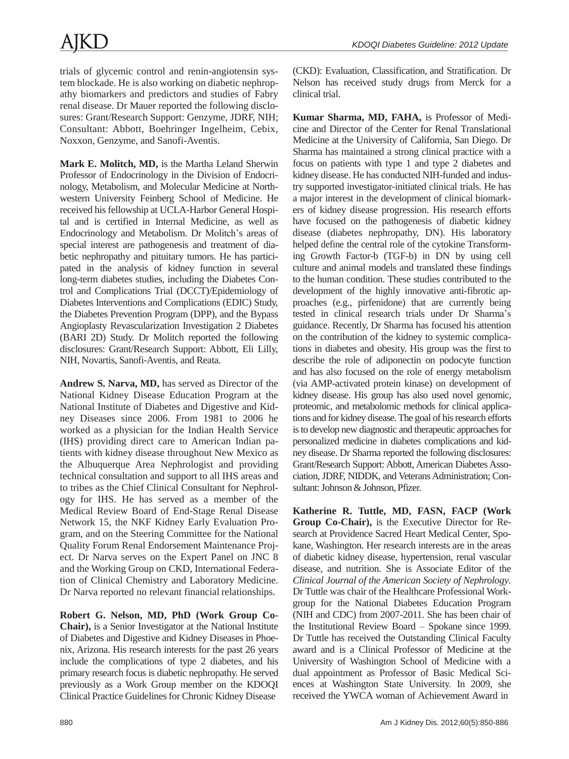trials of glycemic control and renin-angiotensin system blockade. He is also working on diabetic nephropathy biomarkers and predictors and studies of Fabry renal disease. Dr Mauer reported the following disclosures: Grant/Research Support: Genzyme, JDRF, NIH; Consultant: Abbott, Boehringer Ingelheim, Cebix, Noxxon, Genzyme, and Sanofi-Aventis.

**Mark E. Molitch, MD,** is the Martha Leland Sherwin Professor of Endocrinology in the Division of Endocrinology, Metabolism, and Molecular Medicine at Northwestern University Feinberg School of Medicine. He received his fellowship at UCLA-Harbor General Hospital and is certified in Internal Medicine, as well as Endocrinology and Metabolism. Dr Molitch's areas of special interest are pathogenesis and treatment of diabetic nephropathy and pituitary tumors. He has participated in the analysis of kidney function in several long-term diabetes studies, including the Diabetes Control and Complications Trial (DCCT)/Epidemiology of Diabetes Interventions and Complications (EDIC) Study, the Diabetes Prevention Program (DPP), and the Bypass Angioplasty Revascularization Investigation 2 Diabetes (BARI 2D) Study. Dr Molitch reported the following disclosures: Grant/Research Support: Abbott, Eli Lilly, NIH, Novartis, Sanofi-Aventis, and Reata.

**Andrew S. Narva, MD,** has served as Director of the National Kidney Disease Education Program at the National Institute of Diabetes and Digestive and Kidney Diseases since 2006. From 1981 to 2006 he worked as a physician for the Indian Health Service (IHS) providing direct care to American Indian patients with kidney disease throughout New Mexico as the Albuquerque Area Nephrologist and providing technical consultation and support to all IHS areas and to tribes as the Chief Clinical Consultant for Nephrology for IHS. He has served as a member of the Medical Review Board of End-Stage Renal Disease Network 15, the NKF Kidney Early Evaluation Program, and on the Steering Committee for the National Quality Forum Renal Endorsement Maintenance Project. Dr Narva serves on the Expert Panel on JNC 8 and the Working Group on CKD, International Federation of Clinical Chemistry and Laboratory Medicine. Dr Narva reported no relevant financial relationships.

**Robert G. Nelson, MD, PhD (Work Group Co-Chair),** is a Senior Investigator at the National Institute of Diabetes and Digestive and Kidney Diseases in Phoenix, Arizona. His research interests for the past 26 years include the complications of type 2 diabetes, and his primary research focus is diabetic nephropathy. He served previously as a Work Group member on the KDOQI Clinical Practice Guidelines for Chronic Kidney Disease

(CKD): Evaluation, Classification, and Stratification. Dr Nelson has received study drugs from Merck for a clinical trial.

**Kumar Sharma, MD, FAHA,** is Professor of Medicine and Director of the Center for Renal Translational Medicine at the University of California, San Diego. Dr Sharma has maintained a strong clinical practice with a focus on patients with type 1 and type 2 diabetes and kidney disease. He has conducted NIH-funded and industry supported investigator-initiated clinical trials. He has a major interest in the development of clinical biomarkers of kidney disease progression. His research efforts have focused on the pathogenesis of diabetic kidney disease (diabetes nephropathy, DN). His laboratory helped define the central role of the cytokine Transforming Growth Factor-b (TGF-b) in DN by using cell culture and animal models and translated these findings to the human condition. These studies contributed to the development of the highly innovative anti-fibrotic approaches (e.g., pirfenidone) that are currently being tested in clinical research trials under Dr Sharma's guidance. Recently, Dr Sharma has focused his attention on the contribution of the kidney to systemic complications in diabetes and obesity. His group was the first to describe the role of adiponectin on podocyte function and has also focused on the role of energy metabolism (via AMP-activated protein kinase) on development of kidney disease. His group has also used novel genomic, proteomic, and metabolomic methods for clinical applications and for kidney disease. The goal of his research efforts is to develop new diagnostic and therapeutic approaches for personalized medicine in diabetes complications and kidney disease. Dr Sharma reported the following disclosures: Grant/Research Support: Abbott, American Diabetes Association, JDRF, NIDDK, and Veterans Administration; Consultant: Johnson & Johnson, Pfizer.

**Katherine R. Tuttle, MD, FASN, FACP (Work Group Co-Chair),** is the Executive Director for Research at Providence Sacred Heart Medical Center, Spokane, Washington. Her research interests are in the areas of diabetic kidney disease, hypertension, renal vascular disease, and nutrition. She is Associate Editor of the *Clinical Journal of the American Society of Nephrology*. Dr Tuttle was chair of the Healthcare Professional Workgroup for the National Diabetes Education Program (NIH and CDC) from 2007-2011. She has been chair of the Institutional Review Board – Spokane since 1999. Dr Tuttle has received the Outstanding Clinical Faculty award and is a Clinical Professor of Medicine at the University of Washington School of Medicine with a dual appointment as Professor of Basic Medical Sciences at Washington State University. In 2009, she received the YWCA woman of Achievement Award in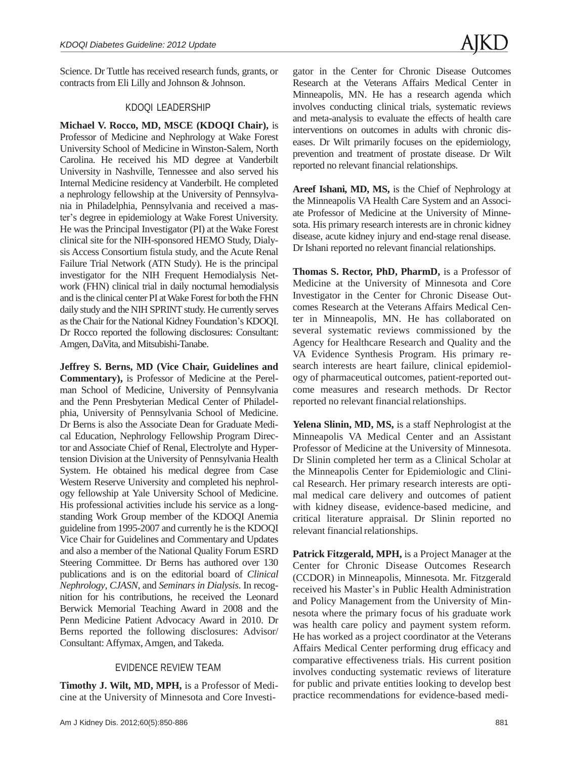Science. Dr Tuttle has received research funds, grants, or contracts from Eli Lilly and Johnson & Johnson.

#### KDOQI LEADERSHIP

**Michael V. Rocco, MD, MSCE (KDOQI Chair),** is Professor of Medicine and Nephrology at Wake Forest University School of Medicine in Winston-Salem, North Carolina. He received his MD degree at Vanderbilt University in Nashville, Tennessee and also served his Internal Medicine residency at Vanderbilt. He completed a nephrology fellowship at the University of Pennsylvania in Philadelphia, Pennsylvania and received a master's degree in epidemiology at Wake Forest University. He was the Principal Investigator (PI) at the Wake Forest clinical site for the NIH-sponsored HEMO Study, Dialysis Access Consortium fistula study, and the Acute Renal Failure Trial Network (ATN Study). He is the principal investigator for the NIH Frequent Hemodialysis Network (FHN) clinical trial in daily nocturnal hemodialysis and is the clinical center PI at Wake Forest for both the FHN daily study and the NIH SPRINT study. He currently serves asthe Chair for the National Kidney Foundation's KDOQI. Dr Rocco reported the following disclosures: Consultant: Amgen, DaVita, and Mitsubishi-Tanabe.

**Jeffrey S. Berns, MD (Vice Chair, Guidelines and Commentary),** is Professor of Medicine at the Perelman School of Medicine, University of Pennsylvania and the Penn Presbyterian Medical Center of Philadelphia, University of Pennsylvania School of Medicine. Dr Berns is also the Associate Dean for Graduate Medical Education, Nephrology Fellowship Program Director and Associate Chief of Renal, Electrolyte and Hypertension Division at the University of Pennsylvania Health System. He obtained his medical degree from Case Western Reserve University and completed his nephrology fellowship at Yale University School of Medicine. His professional activities include his service as a longstanding Work Group member of the KDOQI Anemia guideline from 1995-2007 and currently he isthe KDOQI Vice Chair for Guidelines and Commentary and Updates and also a member of the National Quality Forum ESRD Steering Committee. Dr Berns has authored over 130 publications and is on the editorial board of *Clinical Nephrology*, *CJASN*, and *Seminars in Dialysis*. In recognition for his contributions, he received the Leonard Berwick Memorial Teaching Award in 2008 and the Penn Medicine Patient Advocacy Award in 2010. Dr Berns reported the following disclosures: Advisor/ Consultant:Affymax, Amgen, and Takeda.

### EVIDENCE REVIEW TEAM

**Timothy J. Wilt, MD, MPH,** is a Professor of Medicine at the University of Minnesota and Core Investi-

gator in the Center for Chronic Disease Outcomes Research at the Veterans Affairs Medical Center in Minneapolis, MN. He has a research agenda which involves conducting clinical trials, systematic reviews and meta-analysis to evaluate the effects of health care interventions on outcomes in adults with chronic diseases. Dr Wilt primarily focuses on the epidemiology, prevention and treatment of prostate disease. Dr Wilt reported no relevant financial relationships.

**Areef Ishani, MD, MS,** is the Chief of Nephrology at the Minneapolis VA Health Care System and an Associate Professor of Medicine at the University of Minnesota. His primary research interests are in chronic kidney disease, acute kidney injury and end-stage renal disease. Dr Ishani reported no relevant financial relationships.

**Thomas S. Rector, PhD, PharmD,** is a Professor of Medicine at the University of Minnesota and Core Investigator in the Center for Chronic Disease Outcomes Research at the Veterans Affairs Medical Center in Minneapolis, MN. He has collaborated on several systematic reviews commissioned by the Agency for Healthcare Research and Quality and the VA Evidence Synthesis Program. His primary research interests are heart failure, clinical epidemiology of pharmaceutical outcomes, patient-reported outcome measures and research methods. Dr Rector reported no relevant financial relationships.

**Yelena Slinin, MD, MS,** is a staff Nephrologist at the Minneapolis VA Medical Center and an Assistant Professor of Medicine at the University of Minnesota. Dr Slinin completed her term as a Clinical Scholar at the Minneapolis Center for Epidemiologic and Clinical Research. Her primary research interests are optimal medical care delivery and outcomes of patient with kidney disease, evidence-based medicine, and critical literature appraisal. Dr Slinin reported no relevant financial relationships.

**Patrick Fitzgerald, MPH,** is a Project Manager at the Center for Chronic Disease Outcomes Research (CCDOR) in Minneapolis, Minnesota. Mr. Fitzgerald received his Master's in Public Health Administration and Policy Management from the University of Minnesota where the primary focus of his graduate work was health care policy and payment system reform. He has worked as a project coordinator at the Veterans Affairs Medical Center performing drug efficacy and comparative effectiveness trials. His current position involves conducting systematic reviews of literature for public and private entities looking to develop best practice recommendations for evidence-based medi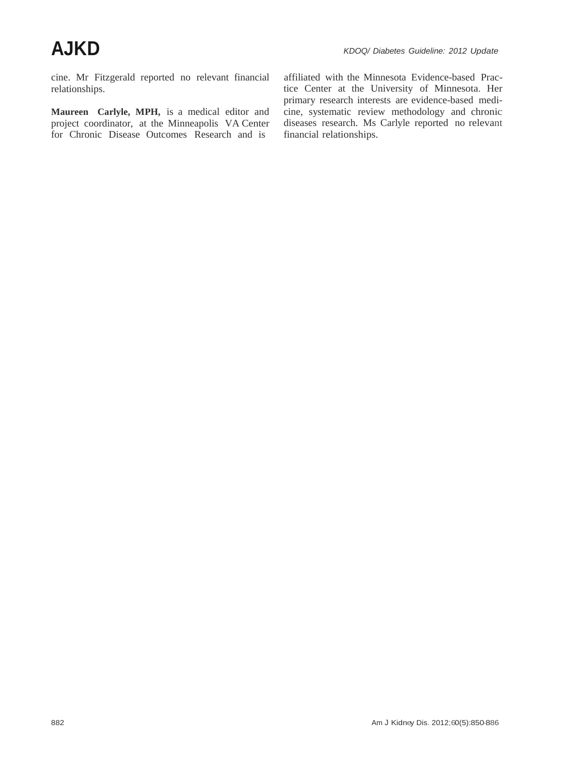cine. Mr Fitzgerald reported no relevant financial relationships.

**Maureen Carlyle, MPH,** is a medical editor and project coordinator, at the Minneapolis VA Center for Chronic Disease Outcomes Research and is

affiliated with the Minnesota Evidence-based Practice Center at the University of Minnesota. Her primary research interests are evidence-based medicine, systematic review methodology and chronic diseases research. Ms Carlyle reported no relevant financial relationships.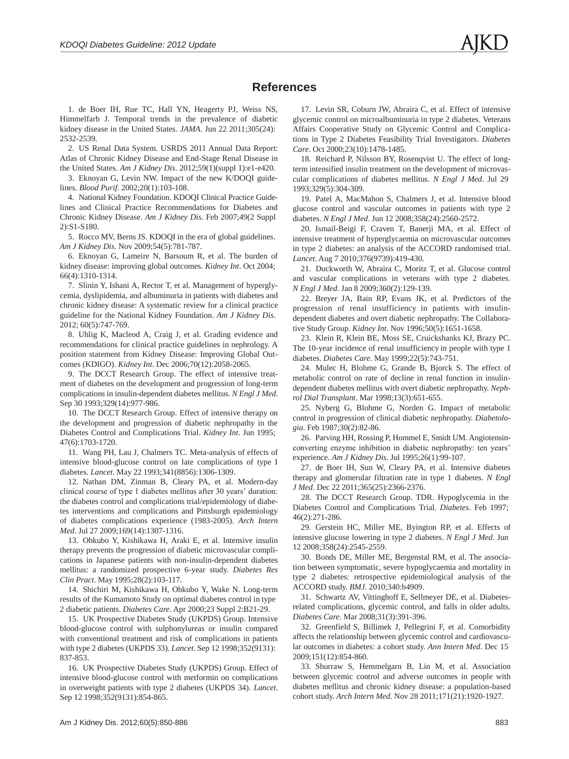### **References**

1. de Boer IH, Rue TC, Hall YN, Heagerty PJ, Weiss NS, Himmelfarb J. Temporal trends in the prevalence of diabetic kidney disease in the United States. *JAMA*. Jun 22 2011;305(24): 2532-2539.

2. US Renal Data System. USRDS 2011 Annual Data Report: Atlas of Chronic Kidney Disease and End-Stage Renal Disease in the United States. *Am J Kidney Dis*. 2012;59(1)(suppl 1):e1-e420.

3. Eknoyan G, Levin NW. Impact of the new K/DOQI guidelines. *Blood Purif*. 2002;20(1):103-108.

4. National Kidney Foundation. KDOQI Clinical Practice Guidelines and Clinical Practice Recommendations for Diabetes and Chronic Kidney Disease. *Am J Kidney Dis*. Feb 2007;49(2 Suppl 2):S1-S180.

5. Rocco MV, Berns JS. KDOQI in the era of global guidelines. *Am J Kidney Dis*. Nov 2009;54(5):781-787.

6. Eknoyan G, Lameire N, Barsoum R, et al. The burden of kidney disease: improving global outcomes. *Kidney Int*. Oct 2004; 66(4):1310-1314.

7. Slinin Y, Ishani A, Rector T, et al. Management of hyperglycemia, dyslipidemia, and albuminuria in patients with diabetes and chronic kidney disease: A systematic review for a clinical practice guideline for the National Kidney Foundation. *Am J Kidney Dis*. 2012; 60(5):747-769.

8. Uhlig K, Macleod A, Craig J, et al. Grading evidence and recommendations for clinical practice guidelines in nephrology. A position statement from Kidney Disease: Improving Global Outcomes (KDIGO). *Kidney Int*. Dec 2006;70(12):2058-2065.

9. The DCCT Research Group. The effect of intensive treatment of diabetes on the development and progression of long-term complications in insulin-dependent diabetes mellitus. *N Engl J Med*. Sep 30 1993;329(14):977-986.

10. The DCCT Research Group. Effect of intensive therapy on the development and progression of diabetic nephropathy in the Diabetes Control and Complications Trial. *Kidney Int*. Jun 1995; 47(6):1703-1720.

11. Wang PH, Lau J, Chalmers TC. Meta-analysis of effects of intensive blood-glucose control on late complications of type I diabetes. *Lancet*. May 22 1993;341(8856):1306-1309.

12. Nathan DM, Zinman B, Cleary PA, et al. Modern-day clinical course of type 1 diabetes mellitus after 30 years' duration: the diabetes control and complications trial/epidemiology of diabetes interventions and complications and Pittsburgh epidemiology of diabetes complications experience (1983-2005). *Arch Intern Med*. Jul 27 2009;169(14):1307-1316.

13. Ohkubo Y, Kishikawa H, Araki E, et al. Intensive insulin therapy prevents the progression of diabetic microvascular complications in Japanese patients with non-insulin-dependent diabetes mellitus: a randomized prospective 6-year study. *Diabetes Res Clin Pract*. May 1995;28(2):103-117.

14. Shichiri M, Kishikawa H, Ohkubo Y, Wake N. Long-term results of the Kumamoto Study on optimal diabetes control in type 2 diabetic patients. *Diabetes Care*. Apr 2000;23 Suppl 2:B21-29.

15. UK Prospective Diabetes Study (UKPDS) Group. Intensive blood-glucose control with sulphonylureas or insulin compared with conventional treatment and risk of complications in patients with type 2 diabetes (UKPDS 33). *Lancet*. Sep 12 1998;352(9131): 837-853.

16. UK Prospective Diabetes Study (UKPDS) Group. Effect of intensive blood-glucose control with metformin on complications in overweight patients with type 2 diabetes (UKPDS 34). *Lancet*. Sep 12 1998;352(9131):854-865.

17. Levin SR, Coburn JW, Abraira C, et al. Effect of intensive glycemic control on microalbuminuria in type 2 diabetes. Veterans Affairs Cooperative Study on Glycemic Control and Complications in Type 2 Diabetes Feasibility Trial Investigators. *Diabetes Care*. Oct 2000;23(10):1478-1485.

18. Reichard P, Nilsson BY, Rosenqvist U. The effect of longterm intensified insulin treatment on the development of microvascular complications of diabetes mellitus. *N Engl J Med*. Jul 29 1993;329(5):304-309.

19. Patel A, MacMahon S, Chalmers J, et al. Intensive blood glucose control and vascular outcomes in patients with type 2 diabetes. *N Engl J Med*. Jun 12 2008;358(24):2560-2572.

20. Ismail-Beigi F, Craven T, Banerji MA, et al. Effect of intensive treatment of hyperglycaemia on microvascular outcomes in type 2 diabetes: an analysis of the ACCORD randomised trial. *Lancet*. Aug 7 2010;376(9739):419-430.

21. Duckworth W, Abraira C, Moritz T, et al. Glucose control and vascular complications in veterans with type 2 diabetes. *N Engl J Med*. Jan 8 2009;360(2):129-139.

22. Breyer JA, Bain RP, Evans JK, et al. Predictors of the progression of renal insufficiency in patients with insulindependent diabetes and overt diabetic nephropathy. The Collaborative Study Group. *Kidney Int*. Nov 1996;50(5):1651-1658.

23. Klein R, Klein BE, Moss SE, Cruickshanks KJ, Brazy PC. The 10-year incidence of renal insufficiency in people with type 1 diabetes. *Diabetes Care*. May 1999;22(5):743-751.

24. Mulec H, Blohme G, Grande B, Bjorck S. The effect of metabolic control on rate of decline in renal function in insulindependent diabetes mellitus with overt diabetic nephropathy. *Nephrol Dial Transplant*. Mar 1998;13(3):651-655.

25. Nyberg G, Blohme G, Norden G. Impact of metabolic control in progression of clinical diabetic nephropathy. *Diabetologia*. Feb 1987;30(2):82-86.

26. Parving HH, Rossing P, Hommel E, Smidt UM. Angiotensinconverting enzyme inhibition in diabetic nephropathy: ten years' experience. *Am J Kidney Dis*. Jul 1995;26(1):99-107.

27. de Boer IH, Sun W, Cleary PA, et al. Intensive diabetes therapy and glomerular filtration rate in type 1 diabetes. *N Engl J Med*. Dec 22 2011;365(25):2366-2376.

28. The DCCT Research Group. TDR. Hypoglycemia in the Diabetes Control and Complications Trial. *Diabetes*. Feb 1997; 46(2):271-286.

29. Gerstein HC, Miller ME, Byington RP, et al. Effects of intensive glucose lowering in type 2 diabetes. *N Engl J Med*. Jun 12 2008;358(24):2545-2559.

30. Bonds DE, Miller ME, Bergenstal RM, et al. The association between symptomatic, severe hypoglycaemia and mortality in type 2 diabetes: retrospective epidemiological analysis of the ACCORD study. *BMJ*. 2010;340:b4909.

31. Schwartz AV, Vittinghoff E, Sellmeyer DE, et al. Diabetesrelated complications, glycemic control, and falls in older adults. *Diabetes Care*. Mar 2008;31(3):391-396.

32. Greenfield S, Billimek J, Pellegrini F, et al. Comorbidity affects the relationship between glycemic control and cardiovascular outcomes in diabetes: a cohort study. *Ann Intern Med*. Dec 15 2009;151(12):854-860.

33. Shurraw S, Hemmelgarn B, Lin M, et al. Association between glycemic control and adverse outcomes in people with diabetes mellitus and chronic kidney disease: a population-based cohort study. *Arch Intern Med*. Nov 28 2011;171(21):1920-1927.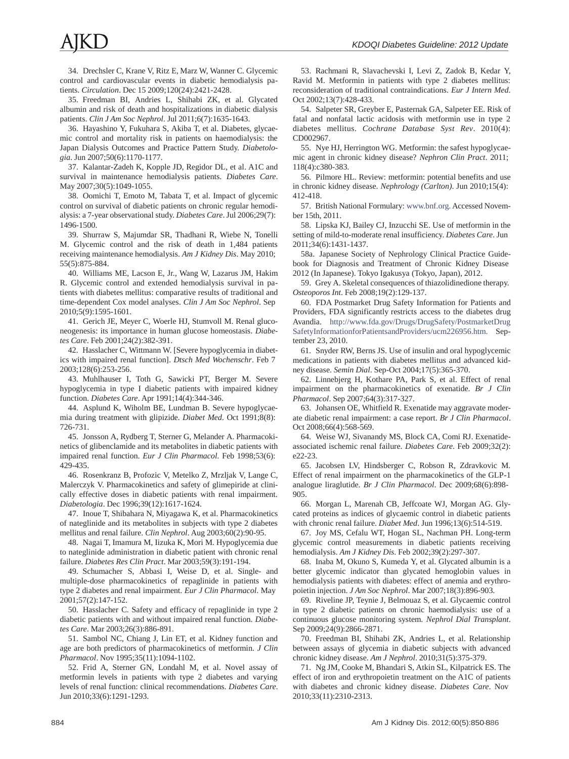34. Drechsler C, Krane V, Ritz E, Marz W, Wanner C. Glycemic control and cardiovascular events in diabetic hemodialysis patients. *Circulation*. Dec 15 2009;120(24):2421-2428.

35. Freedman BI, Andries L, Shihabi ZK, et al. Glycated albumin and risk of death and hospitalizations in diabetic dialysis patients. *Clin J Am Soc Nephrol*. Jul 2011;6(7):1635-1643.

36. Hayashino Y, Fukuhara S, Akiba T, et al. Diabetes, glycaemic control and mortality risk in patients on haemodialysis: the Japan Dialysis Outcomes and Practice Pattern Study. *Diabetologia*. Jun 2007;50(6):1170-1177.

37. Kalantar-Zadeh K, Kopple JD, Regidor DL, et al. A1C and survival in maintenance hemodialysis patients. *Diabetes Care*. May 2007;30(5):1049-1055.

38. Oomichi T, Emoto M, Tabata T, et al. Impact of glycemic control on survival of diabetic patients on chronic regular hemodialysis: a 7-year observational study. *Diabetes Care*.Jul 2006;29(7): 1496-1500.

39. Shurraw S, Majumdar SR, Thadhani R, Wiebe N, Tonelli M. Glycemic control and the risk of death in 1,484 patients receiving maintenance hemodialysis. *Am J Kidney Dis*. May 2010; 55(5):875-884.

40. Williams ME, Lacson E, Jr., Wang W, Lazarus JM, Hakim R. Glycemic control and extended hemodialysis survival in patients with diabetes mellitus: comparative results of traditional and time-dependent Cox model analyses. *Clin J Am Soc Nephrol*. Sep 2010;5(9):1595-1601.

41. Gerich JE, Meyer C, Woerle HJ, Stumvoll M. Renal gluconeogenesis: its importance in human glucose homeostasis. *Diabetes Care*. Feb 2001;24(2):382-391.

42. Hasslacher C, Wittmann W. [Severe hypoglycemia in diabetics with impaired renal function]. *Dtsch Med Wochenschr*. Feb 7 2003;128(6):253-256.

43. Muhlhauser I, Toth G, Sawicki PT, Berger M. Severe hypoglycemia in type I diabetic patients with impaired kidney function. *Diabetes Care*. Apr 1991;14(4):344-346.

44. Asplund K, Wiholm BE, Lundman B. Severe hypoglycaemia during treatment with glipizide. *Diabet Med*. Oct 1991;8(8): 726-731.

45. Jonsson A, Rydberg T, Sterner G, Melander A. Pharmacokinetics of glibenclamide and its metabolites in diabetic patients with impaired renal function. *Eur J Clin Pharmacol*. Feb 1998;53(6): 429-435.

46. Rosenkranz B, Profozic V, Metelko Z, Mrzljak V, Lange C, Malerczyk V. Pharmacokinetics and safety of glimepiride at clinically effective doses in diabetic patients with renal impairment. *Diabetologia*. Dec 1996;39(12):1617-1624.

47. Inoue T, Shibahara N, Miyagawa K, et al. Pharmacokinetics of nateglinide and its metabolites in subjects with type 2 diabetes mellitus and renal failure. *Clin Nephrol*. Aug 2003;60(2):90-95.

48. Nagai T, Imamura M, Iizuka K, Mori M. Hypoglycemia due to nateglinide administration in diabetic patient with chronic renal failure. *Diabetes Res Clin Pract*. Mar 2003;59(3):191-194.

49. Schumacher S, Abbasi I, Weise D, et al. Single- and multiple-dose pharmacokinetics of repaglinide in patients with type 2 diabetes and renal impairment. *Eur J Clin Pharmacol*. May 2001;57(2):147-152.

50. Hasslacher C. Safety and efficacy of repaglinide in type 2 diabetic patients with and without impaired renal function. *Diabetes Care*. Mar 2003;26(3):886-891.

51. Sambol NC, Chiang J, Lin ET, et al. Kidney function and age are both predictors of pharmacokinetics of metformin. *J Clin Pharmacol*. Nov 1995;35(11):1094-1102.

52. Frid A, Sterner GN, Londahl M, et al. Novel assay of metformin levels in patients with type 2 diabetes and varying levels of renal function: clinical recommendations. *Diabetes Care*. Jun 2010;33(6):1291-1293.

53. Rachmani R, Slavachevski I, Levi Z, Zadok B, Kedar Y, Ravid M. Metformin in patients with type 2 diabetes mellitus: reconsideration of traditional contraindications. *Eur J Intern Med*. Oct 2002;13(7):428-433.

54. Salpeter SR, Greyber E, Pasternak GA, Salpeter EE. Risk of fatal and nonfatal lactic acidosis with metformin use in type 2 diabetes mellitus. *Cochrane Database Syst Rev*. 2010(4): CD002967.

55. Nye HJ, Herrington WG. Metformin: the safest hypoglycaemic agent in chronic kidney disease? *Nephron Clin Pract*. 2011; 118(4):c380-383.

56. Pilmore HL. Review: metformin: potential benefits and use in chronic kidney disease. *Nephrology (Carlton)*. Jun 2010;15(4): 412-418.

57. British National Formulary: [www.bnf.org.](http://www.bnf.org/) Accessed November 15th, 2011.

58. Lipska KJ, Bailey CJ, Inzucchi SE. Use of metformin in the setting of mild-to-moderate renal insufficiency. *Diabetes Care*. Jun 2011;34(6):1431-1437.

58a. Japanese Society of Nephrology Clinical Practice Guidebook for Diagnosis and Treatment of Chronic Kidney Disease 2012 (In Japanese). Tokyo Igakusya (Tokyo, Japan), 2012.

59. Grey A. Skeletal consequences of thiazolidinedione therapy. *Osteoporos Int*. Feb 2008;19(2):129-137.

60. FDA Postmarket Drug Safety Information for Patients and Providers, FDA significantly restricts access to the diabetes drug Avandia. [http://www.fda.gov/Drugs/DrugSafety/PostmarketDrug](http://www.fda.gov/Drugs/DrugSafety/PostmarketDrugSafetyInformationforPatientsandProviders/ucm226956.htm) [SafetyInformationforPatientsandProviders/ucm226956.htm. S](http://www.fda.gov/Drugs/DrugSafety/PostmarketDrugSafetyInformationforPatientsandProviders/ucm226956.htm)eptember 23, 2010.

61. Snyder RW, Berns JS. Use of insulin and oral hypoglycemic medications in patients with diabetes mellitus and advanced kidney disease. *Semin Dial*. Sep-Oct 2004;17(5):365-370.

62. Linnebjerg H, Kothare PA, Park S, et al. Effect of renal impairment on the pharmacokinetics of exenatide. *Br J Clin Pharmacol*. Sep 2007;64(3):317-327.

63. Johansen OE, Whitfield R. Exenatide may aggravate moderate diabetic renal impairment: a case report. *Br J Clin Pharmacol*. Oct 2008;66(4):568-569.

64. Weise WJ, Sivanandy MS, Block CA, Comi RJ. Exenatideassociated ischemic renal failure. *Diabetes Care*. Feb 2009;32(2): e22-23.

65. Jacobsen LV, Hindsberger C, Robson R, Zdravkovic M. Effect of renal impairment on the pharmacokinetics of the GLP-1 analogue liraglutide. *Br J Clin Pharmacol*. Dec 2009;68(6):898- 905.

66. Morgan L, Marenah CB, Jeffcoate WJ, Morgan AG. Glycated proteins as indices of glycaemic control in diabetic patients with chronic renal failure. *Diabet Med*. Jun 1996;13(6):514-519.

67. Joy MS, Cefalu WT, Hogan SL, Nachman PH. Long-term glycemic control measurements in diabetic patients receiving hemodialysis. *Am J Kidney Dis*. Feb 2002;39(2):297-307.

68. Inaba M, Okuno S, Kumeda Y, et al. Glycated albumin is a better glycemic indicator than glycated hemoglobin values in hemodialysis patients with diabetes: effect of anemia and erythropoietin injection. *J Am Soc Nephrol*. Mar 2007;18(3):896-903.

69. Riveline JP, Teynie J, Belmouaz S, et al. Glycaemic control in type 2 diabetic patients on chronic haemodialysis: use of a continuous glucose monitoring system. *Nephrol Dial Transplant*. Sep 2009;24(9):2866-2871.

70. Freedman BI, Shihabi ZK, Andries L, et al. Relationship between assays of glycemia in diabetic subjects with advanced chronic kidney disease. *Am J Nephrol*. 2010;31(5):375-379.

71. Ng JM, Cooke M, Bhandari S, Atkin SL, Kilpatrick ES. The effect of iron and erythropoietin treatment on the A1C of patients with diabetes and chronic kidney disease. *Diabetes Care*. Nov 2010;33(11):2310-2313.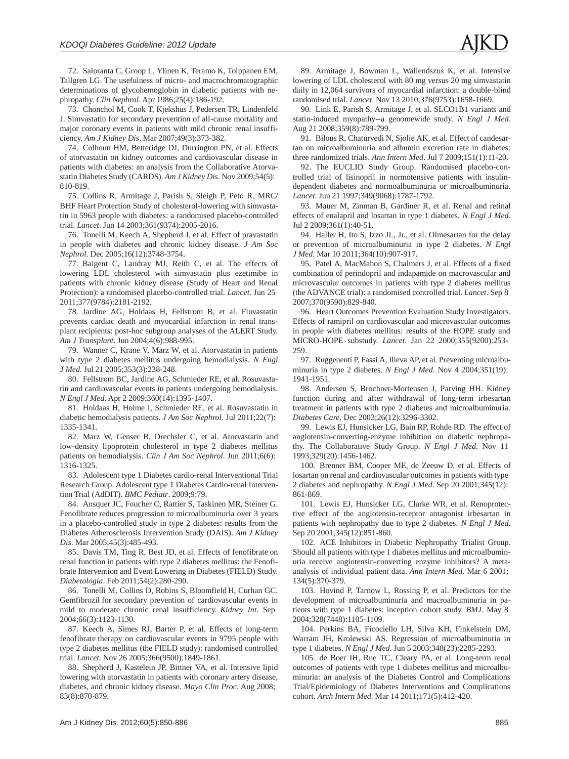72. Saloranta C, Groop L, Ylinen K, Teramo K, Tolppanen EM, Tallgren LG. The usefulness of micro- and macrochromatographic determinations of glycohemoglobin in diabetic patients with nephropathy. *Clin Nephrol*. Apr 1986;25(4):186-192.

73. Chonchol M, Cook T, Kjekshus J, Pedersen TR, Lindenfeld J. Simvastatin for secondary prevention of all-cause mortality and major coronary events in patients with mild chronic renal insufficiency. *Am J Kidney Dis*. Mar 2007;49(3):373-382.

74. Colhoun HM, Betteridge DJ, Durrington PN, et al. Effects of atorvastatin on kidney outcomes and cardiovascular disease in patients with diabetes: an analysis from the Collaborative Atorvastatin Diabetes Study (CARDS). *Am J Kidney Dis*. Nov 2009;54(5): 810-819.

75. Collins R, Armitage J, Parish S, Sleigh P, Peto R. MRC/ BHF Heart Protection Study of cholesterol-lowering with simvastatin in 5963 people with diabetes: a randomised placebo-controlled trial. *Lancet*. Jun 14 2003;361(9374):2005-2016.

76. Tonelli M, Keech A, Shepherd J, et al. Effect of pravastatin in people with diabetes and chronic kidney disease. *J Am Soc Nephrol*. Dec 2005;16(12):3748-3754.

77. Baigent C, Landray MJ, Reith C, et al. The effects of lowering LDL cholesterol with simvastatin plus ezetimibe in patients with chronic kidney disease (Study of Heart and Renal Protection): a randomised placebo-controlled trial. *Lancet*. Jun 25 2011;377(9784):2181-2192.

78. Jardine AG, Holdaas H, Fellstrom B, et al. Fluvastatin prevents cardiac death and myocardial infarction in renal transplant recipients: post-hoc subgroup analyses of the ALERT Study. *Am J Transplant*. Jun 2004;4(6):988-995.

79. Wanner C, Krane V, Marz W, et al. Atorvastatin in patients with type 2 diabetes mellitus undergoing hemodialysis. *N Engl J Med*. Jul 21 2005;353(3):238-248.

80. Fellstrom BC, Jardine AG, Schmieder RE, et al. Rosuvastatin and cardiovascular events in patients undergoing hemodialysis. *N Engl J Med*. Apr 2 2009;360(14):1395-1407.

81. Holdaas H, Holme I, Schmieder RE, et al. Rosuvastatin in diabetic hemodialysis patients. *J Am Soc Nephrol*. Jul 2011;22(7): 1335-1341.

82. Marz W, Genser B, Drechsler C, et al. Atorvastatin and low-density lipoprotein cholesterol in type 2 diabetes mellitus patients on hemodialysis. *Clin J Am Soc Nephrol*. Jun 2011;6(6): 1316-1325.

83. Adolescent type 1 Diabetes cardio-renal Interventional Trial Research Group. Adolescent type 1 Diabetes Cardio-renal Intervention Trial (AdDIT). *BMC Pediatr*. 2009;9:79.

84. Ansquer JC, Foucher C, Rattier S, Taskinen MR, Steiner G. Fenofibrate reduces progression to microalbuminuria over 3 years in a placebo-controlled study in type 2 diabetes: results from the Diabetes Atherosclerosis Intervention Study (DAIS). *Am J Kidney Dis*. Mar 2005;45(3):485-493.

85. Davis TM, Ting R, Best JD, et al. Effects of fenofibrate on renal function in patients with type 2 diabetes mellitus: the Fenofibrate Intervention and Event Lowering in Diabetes (FIELD) Study. *Diabetologia*. Feb 2011;54(2):280-290.

86. Tonelli M, Collins D, Robins S, Bloomfield H, Curhan GC. Gemfibrozil for secondary prevention of cardiovascular events in mild to moderate chronic renal insufficiency. *Kidney Int*. Sep 2004;66(3):1123-1130.

87. Keech A, Simes RJ, Barter P, et al. Effects of long-term fenofibrate therapy on cardiovascular events in 9795 people with type 2 diabetes mellitus (the FIELD study): randomised controlled trial. *Lancet*. Nov 26 2005;366(9500):1849-1861.

88. Shepherd J, Kastelein JP, Bittner VA, et al. Intensive lipid lowering with atorvastatin in patients with coronary artery disease, diabetes, and chronic kidney disease. *Mayo Clin Proc*. Aug 2008; 83(8):870-879.

89. Armitage J, Bowman L, Wallendszus K, et al. Intensive lowering of LDL cholesterol with 80 mg versus 20 mg simvastatin daily in 12,064 survivors of myocardial infarction: a double-blind randomised trial. *Lancet*. Nov 13 2010;376(9753):1658-1669.

90. Link E, Parish S, Armitage J, et al. SLCO1B1 variants and statin-induced myopathy--a genomewide study. *N Engl J Med*. Aug 21 2008;359(8):789-799.

91. Bilous R, Chaturvedi N, Sjolie AK, et al. Effect of candesartan on microalbuminuria and albumin excretion rate in diabetes: three randomized trials. *Ann Intern Med*. Jul 7 2009;151(1):11-20.

92. The EUCLID Study Group. Randomised placebo-controlled trial of lisinopril in normotensive patients with insulindependent diabetes and normoalbuminuria or microalbuminuria. *Lancet*. Jun 21 1997;349(9068):1787-1792.

93. Mauer M, Zinman B, Gardiner R, et al. Renal and retinal effects of enalapril and losartan in type 1 diabetes. *N Engl J Med*. Jul 2 2009;361(1):40-51.

94. Haller H, Ito S, Izzo JL, Jr., et al. Olmesartan for the delay or prevention of microalbuminuria in type 2 diabetes. *N Engl J Med*. Mar 10 2011;364(10):907-917.

95. Patel A, MacMahon S, Chalmers J, et al. Effects of a fixed combination of perindopril and indapamide on macrovascular and microvascular outcomes in patients with type 2 diabetes mellitus (the ADVANCE trial): a randomised controlled trial. *Lancet*. Sep 8 2007;370(9590):829-840.

96. Heart Outcomes Prevention Evaluation Study Investigators. Effects of ramipril on cardiovascular and microvascular outcomes in people with diabetes mellitus: results of the HOPE study and MICRO-HOPE substudy. *Lancet*. Jan 22 2000;355(9200):253- 259.

97. Ruggenenti P, Fassi A, Ilieva AP, et al. Preventing microalbuminuria in type 2 diabetes. *N Engl J Med*. Nov 4 2004;351(19): 1941-1951.

98. Andersen S, Brochner-Mortensen J, Parving HH. Kidney function during and after withdrawal of long-term irbesartan treatment in patients with type 2 diabetes and microalbuminuria. *Diabetes Care*. Dec 2003;26(12):3296-3302.

99. Lewis EJ, Hunsicker LG, Bain RP, Rohde RD. The effect of angiotensin-converting-enzyme inhibition on diabetic nephropathy. The Collaborative Study Group. *N Engl J Med*. Nov 11 1993;329(20):1456-1462.

100. Brenner BM, Cooper ME, de Zeeuw D, et al. Effects of losartan on renal and cardiovascular outcomes in patients with type 2 diabetes and nephropathy. *N Engl J Med*. Sep 20 2001;345(12): 861-869.

101. Lewis EJ, Hunsicker LG, Clarke WR, et al. Renoprotective effect of the angiotensin-receptor antagonist irbesartan in patients with nephropathy due to type 2 diabetes. *N Engl J Med*. Sep 20 2001;345(12):851-860.

102. ACE Inhibitors in Diabetic Nephropathy Trialist Group. Should all patients with type 1 diabetes mellitus and microalbuminuria receive angiotensin-converting enzyme inhibitors? A metaanalysis of individual patient data. *Ann Intern Med*. Mar 6 2001; 134(5):370-379.

103. Hovind P, Tarnow L, Rossing P, et al. Predictors for the development of microalbuminuria and macroalbuminuria in patients with type 1 diabetes: inception cohort study. *BMJ*. May 8 2004;328(7448):1105-1109.

104. Perkins BA, Ficociello LH, Silva KH, Finkelstein DM, Warram JH, Krolewski AS. Regression of microalbuminuria in type 1 diabetes. *N Engl J Med*. Jun 5 2003;348(23):2285-2293.

105. de Boer IH, Rue TC, Cleary PA, et al. Long-term renal outcomes of patients with type 1 diabetes mellitus and microalbuminuria: an analysis of the Diabetes Control and Complications Trial/Epidemiology of Diabetes Interventions and Complications cohort. *Arch Intern Med*. Mar 14 2011;171(5):412-420.